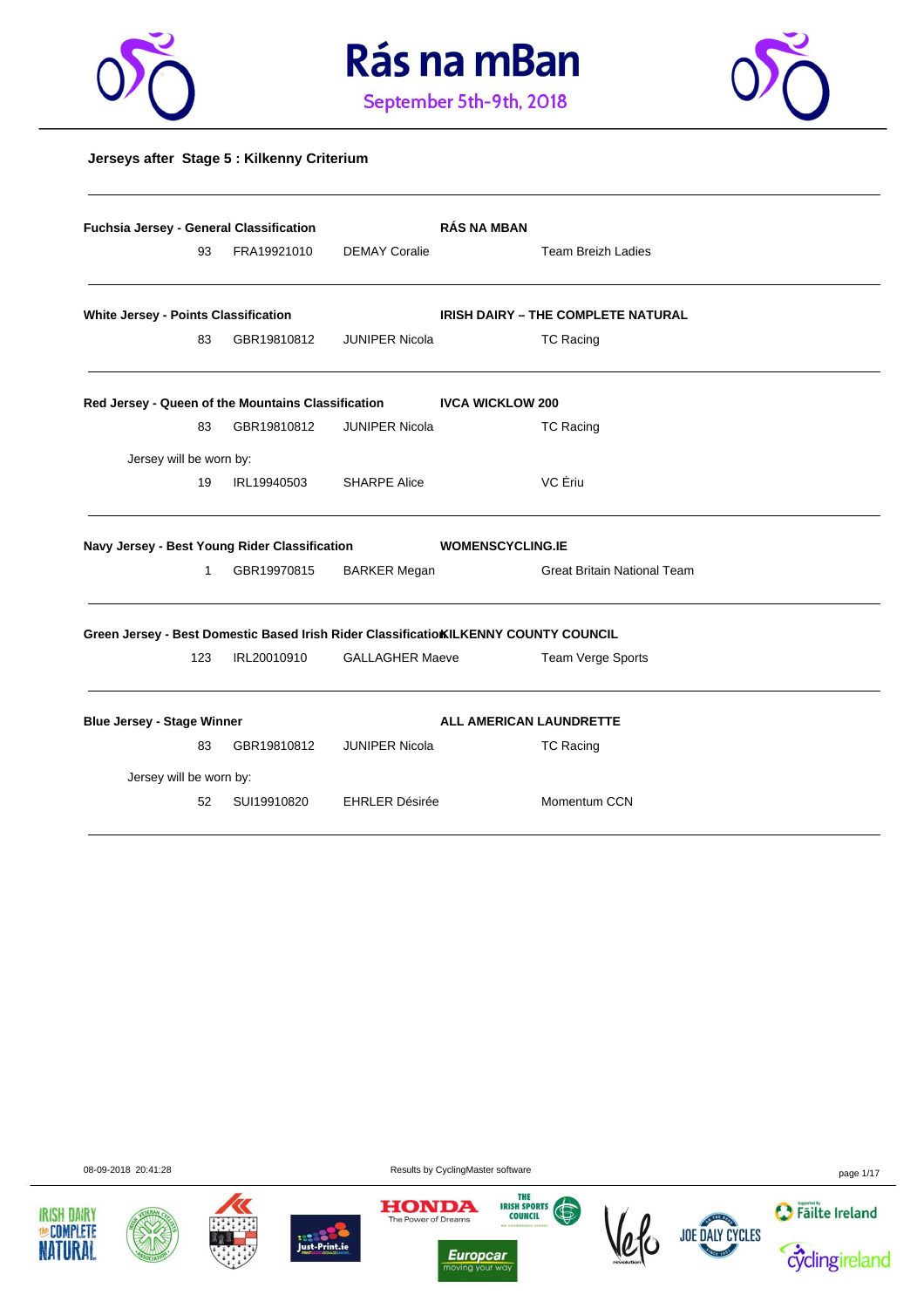





#### **Jerseys after Stage 5 : Kilkenny Criterium**

|                                               | <b>Fuchsia Jersey - General Classification</b> |             |                        | <b>RÁS NA MBAN</b>                                                                   |
|-----------------------------------------------|------------------------------------------------|-------------|------------------------|--------------------------------------------------------------------------------------|
|                                               | 93                                             | FRA19921010 | <b>DEMAY Coralie</b>   | <b>Team Breizh Ladies</b>                                                            |
| White Jersey - Points Classification          |                                                |             |                        | <b>IRISH DAIRY - THE COMPLETE NATURAL</b>                                            |
|                                               | 83                                             | GBR19810812 | <b>JUNIPER Nicola</b>  | <b>TC Racing</b>                                                                     |
|                                               |                                                |             |                        | Red Jersey - Queen of the Mountains Classification MCCA WICKLOW 200                  |
|                                               | 83                                             | GBR19810812 | <b>JUNIPER Nicola</b>  | <b>TC Racing</b>                                                                     |
| Jersey will be worn by:                       |                                                |             |                        |                                                                                      |
|                                               | 19                                             | IRL19940503 | <b>SHARPE Alice</b>    | VC Ériu                                                                              |
| Navy Jersey - Best Young Rider Classification |                                                |             |                        | <b>WOMENSCYCLING.IE</b>                                                              |
|                                               | 1                                              | GBR19970815 | <b>BARKER Megan</b>    | <b>Great Britain National Team</b>                                                   |
|                                               |                                                |             |                        | Green Jersey - Best Domestic Based Irish Rider Classificatio KILKENNY COUNTY COUNCIL |
|                                               | 123                                            | IRL20010910 | <b>GALLAGHER Maeve</b> | Team Verge Sports                                                                    |
| <b>Blue Jersey - Stage Winner</b>             |                                                |             |                        | ALL AMERICAN LAUNDRETTE                                                              |
|                                               | 83                                             | GBR19810812 | <b>JUNIPER Nicola</b>  | <b>TC Racing</b>                                                                     |
| Jersey will be worn by:                       |                                                |             |                        |                                                                                      |
|                                               | 52                                             | SUI19910820 | <b>EHRLER Désirée</b>  | Momentum CCN                                                                         |

08-09-2018 20:41:28 Results by CyclingMaster software page 1/17











*Europcar*<br>moving your way  $\frac{1}{10}$ 



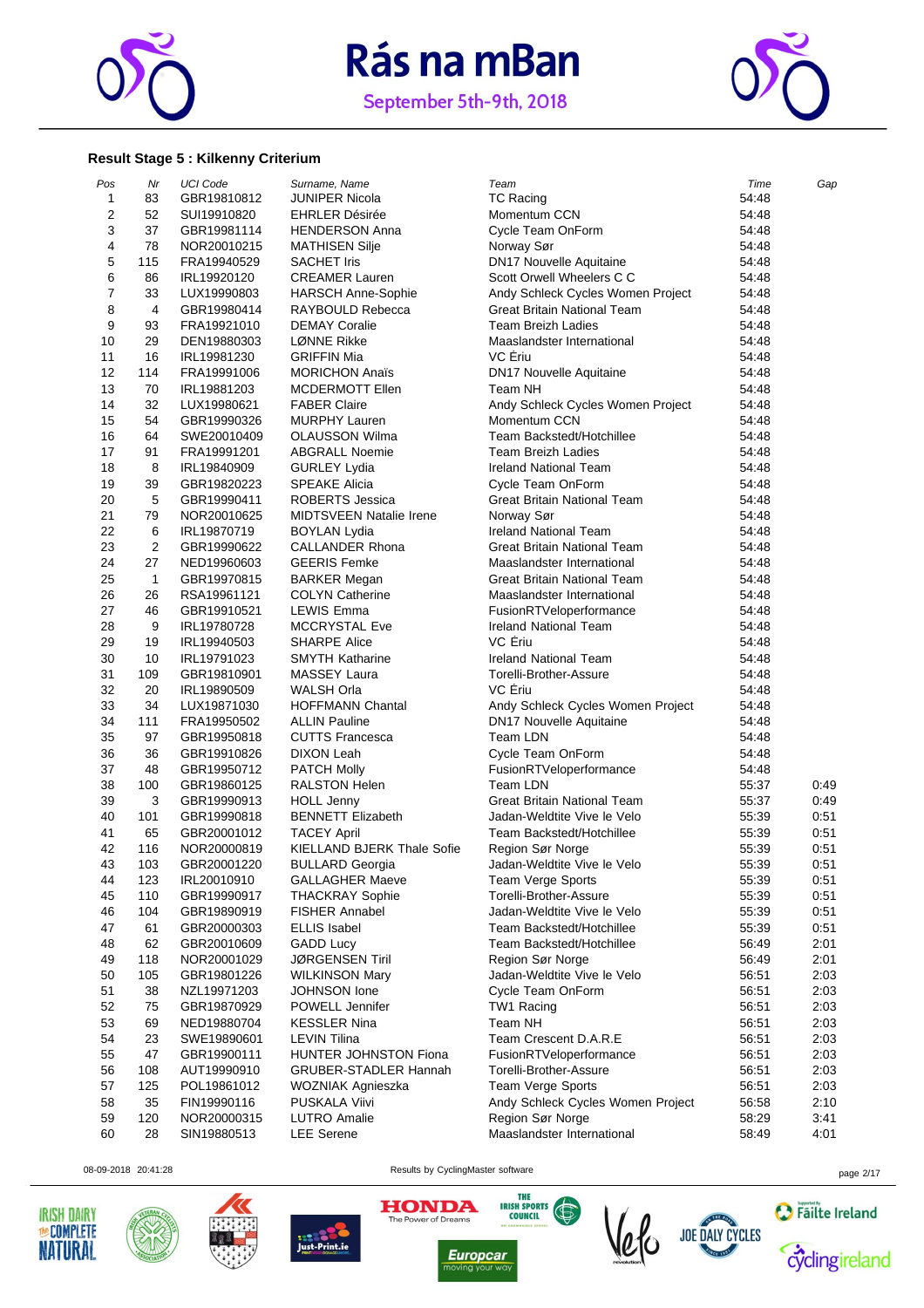

September 5th-9th, 2018



#### **Result Stage 5 : Kilkenny Criterium**

| Pos                     | Nr           | <b>UCI Code</b> | Surname, Name                     | Team                               | Time  | Gap          |
|-------------------------|--------------|-----------------|-----------------------------------|------------------------------------|-------|--------------|
| 1                       | 83           | GBR19810812     | JUNIPER Nicola                    | <b>TC Racing</b>                   | 54:48 |              |
| $\overline{\mathbf{c}}$ | 52           | SUI19910820     | <b>EHRLER Désirée</b>             | Momentum CCN                       | 54:48 |              |
| 3                       | 37           | GBR19981114     | <b>HENDERSON Anna</b>             | Cycle Team OnForm                  | 54:48 |              |
| 4                       | 78           | NOR20010215     | <b>MATHISEN Silje</b>             | Norway Sør                         | 54:48 |              |
| 5                       | 115          | FRA19940529     | <b>SACHET Iris</b>                | <b>DN17 Nouvelle Aquitaine</b>     | 54:48 |              |
| 6                       | 86           | IRL19920120     | <b>CREAMER Lauren</b>             | Scott Orwell Wheelers C C          | 54:48 |              |
| 7                       | 33           | LUX19990803     | <b>HARSCH Anne-Sophie</b>         | Andy Schleck Cycles Women Project  | 54:48 |              |
| 8                       | 4            | GBR19980414     | RAYBOULD Rebecca                  | Great Britain National Team        | 54:48 |              |
| 9                       | 93           | FRA19921010     | <b>DEMAY Coralie</b>              | <b>Team Breizh Ladies</b>          | 54:48 |              |
| 10                      | 29           | DEN19880303     | LØNNE Rikke                       | Maaslandster International         | 54:48 |              |
| 11                      | 16           | IRL19981230     | <b>GRIFFIN Mia</b>                | VC Ériu                            | 54:48 |              |
| 12                      | 114          | FRA19991006     | <b>MORICHON Anaïs</b>             | DN17 Nouvelle Aquitaine            | 54:48 |              |
| 13                      | 70           | IRL19881203     | <b>MCDERMOTT Ellen</b>            | Team NH                            | 54:48 |              |
| 14                      | 32           | LUX19980621     | <b>FABER Claire</b>               |                                    | 54:48 |              |
| 15                      | 54           |                 |                                   | Andy Schleck Cycles Women Project  |       |              |
|                         |              | GBR19990326     | <b>MURPHY Lauren</b>              | Momentum CCN                       | 54:48 |              |
| 16                      | 64           | SWE20010409     | <b>OLAUSSON Wilma</b>             | Team Backstedt/Hotchillee          | 54:48 |              |
| 17                      | 91           | FRA19991201     | <b>ABGRALL Noemie</b>             | <b>Team Breizh Ladies</b>          | 54:48 |              |
| 18                      | 8            | IRL19840909     | <b>GURLEY Lydia</b>               | Ireland National Team              | 54:48 |              |
| 19                      | 39           | GBR19820223     | <b>SPEAKE Alicia</b>              | Cycle Team OnForm                  | 54:48 |              |
| 20                      | 5            | GBR19990411     | ROBERTS Jessica                   | Great Britain National Team        | 54:48 |              |
| 21                      | 79           | NOR20010625     | <b>MIDTSVEEN Natalie Irene</b>    | Norway Sør                         | 54:48 |              |
| 22                      | 6            | IRL19870719     | <b>BOYLAN Lydia</b>               | <b>Ireland National Team</b>       | 54:48 |              |
| 23                      | $\sqrt{2}$   | GBR19990622     | <b>CALLANDER Rhona</b>            | <b>Great Britain National Team</b> | 54:48 |              |
| 24                      | 27           | NED19960603     | <b>GEERIS Femke</b>               | Maaslandster International         | 54:48 |              |
| 25                      | $\mathbf{1}$ | GBR19970815     | <b>BARKER Megan</b>               | Great Britain National Team        | 54:48 |              |
| 26                      | 26           | RSA19961121     | <b>COLYN Catherine</b>            | Maaslandster International         | 54:48 |              |
| 27                      | 46           | GBR19910521     | <b>LEWIS Emma</b>                 | FusionRTVeloperformance            | 54:48 |              |
| 28                      | 9            | IRL19780728     | <b>MCCRYSTAL Eve</b>              | <b>Ireland National Team</b>       | 54:48 |              |
| 29                      | 19           | IRL19940503     | <b>SHARPE Alice</b>               | VC Ériu                            | 54:48 |              |
| 30                      | 10           | IRL19791023     | <b>SMYTH Katharine</b>            | <b>Ireland National Team</b>       | 54:48 |              |
| 31                      | 109          | GBR19810901     | MASSEY Laura                      | Torelli-Brother-Assure             | 54:48 |              |
| 32                      | 20           | IRL19890509     | WALSH Orla                        | VC Eriu                            | 54:48 |              |
| 33                      | 34           | LUX19871030     | <b>HOFFMANN Chantal</b>           | Andy Schleck Cycles Women Project  | 54:48 |              |
| 34                      | 111          | FRA19950502     | <b>ALLIN Pauline</b>              | DN17 Nouvelle Aquitaine            | 54:48 |              |
| 35                      | 97           | GBR19950818     | <b>CUTTS Francesca</b>            | Team LDN                           | 54:48 |              |
| 36                      | 36           | GBR19910826     | DIXON Leah                        | Cycle Team OnForm                  | 54:48 |              |
| 37                      | 48           | GBR19950712     | <b>PATCH Molly</b>                | FusionRTVeloperformance            | 54:48 |              |
| 38                      | 100          |                 | <b>RALSTON Helen</b>              | Team LDN                           | 55:37 |              |
| 39                      | 3            | GBR19860125     | <b>HOLL Jenny</b>                 | <b>Great Britain National Team</b> | 55:37 | 0:49<br>0:49 |
|                         |              | GBR19990913     |                                   | Jadan-Weldtite Vive le Velo        |       |              |
| 40                      | 101          | GBR19990818     | <b>BENNETT Elizabeth</b>          |                                    | 55:39 | 0:51         |
| 41                      | 65           | GBR20001012     | <b>TACEY April</b>                | Team Backstedt/Hotchillee          | 55:39 | 0:51         |
| 42                      | 116          | NOR20000819     | <b>KIELLAND BJERK Thale Sofie</b> | Region Sør Norge                   | 55:39 | 0:51         |
| 43                      | 103          | GBR20001220     | <b>BULLARD Georgia</b>            | Jadan-Weldtite Vive le Velo        | 55:39 | 0:51         |
| 44                      | 123          | IRL20010910     | <b>GALLAGHER Maeve</b>            | Team Verge Sports                  | 55:39 | 0:51         |
| 45                      | 110          | GBR19990917     | <b>THACKRAY Sophie</b>            | Torelli-Brother-Assure             | 55:39 | 0:51         |
| 46                      | 104          | GBR19890919     | <b>FISHER Annabel</b>             | Jadan-Weldtite Vive le Velo        | 55:39 | 0:51         |
| 47                      | 61           | GBR20000303     | <b>ELLIS Isabel</b>               | Team Backstedt/Hotchillee          | 55:39 | 0:51         |
| 48                      | 62           | GBR20010609     | <b>GADD Lucy</b>                  | Team Backstedt/Hotchillee          | 56:49 | 2:01         |
| 49                      | 118          | NOR20001029     | <b>JØRGENSEN Tiril</b>            | Region Sør Norge                   | 56:49 | 2:01         |
| 50                      | 105          | GBR19801226     | <b>WILKINSON Mary</b>             | Jadan-Weldtite Vive le Velo        | 56:51 | 2:03         |
| 51                      | 38           | NZL19971203     | JOHNSON lone                      | Cycle Team OnForm                  | 56:51 | 2:03         |
| 52                      | 75           | GBR19870929     | POWELL Jennifer                   | TW1 Racing                         | 56:51 | 2:03         |
| 53                      | 69           | NED19880704     | <b>KESSLER Nina</b>               | Team NH                            | 56:51 | 2:03         |
| 54                      | 23           | SWE19890601     | LEVIN Tilina                      | Team Crescent D.A.R.E              | 56:51 | 2:03         |
| 55                      | 47           | GBR19900111     | HUNTER JOHNSTON Fiona             | FusionRTVeloperformance            | 56:51 | 2:03         |
| 56                      | 108          | AUT19990910     | <b>GRUBER-STADLER Hannah</b>      | Torelli-Brother-Assure             | 56:51 | 2:03         |
| 57                      | 125          | POL19861012     | WOZNIAK Agnieszka                 | <b>Team Verge Sports</b>           | 56:51 | 2:03         |
| 58                      | 35           | FIN19990116     | PUSKALA Viivi                     | Andy Schleck Cycles Women Project  | 56.58 | 2:10         |
| 59                      | 120          | NOR20000315     | <b>LUTRO</b> Amalie               | Region Sør Norge                   | 58:29 | 3:41         |
| 60                      | 28           | SIN19880513     | <b>LEE</b> Serene                 | Maaslandster International         | 58:49 | 4:01         |
|                         |              |                 |                                   |                                    |       |              |











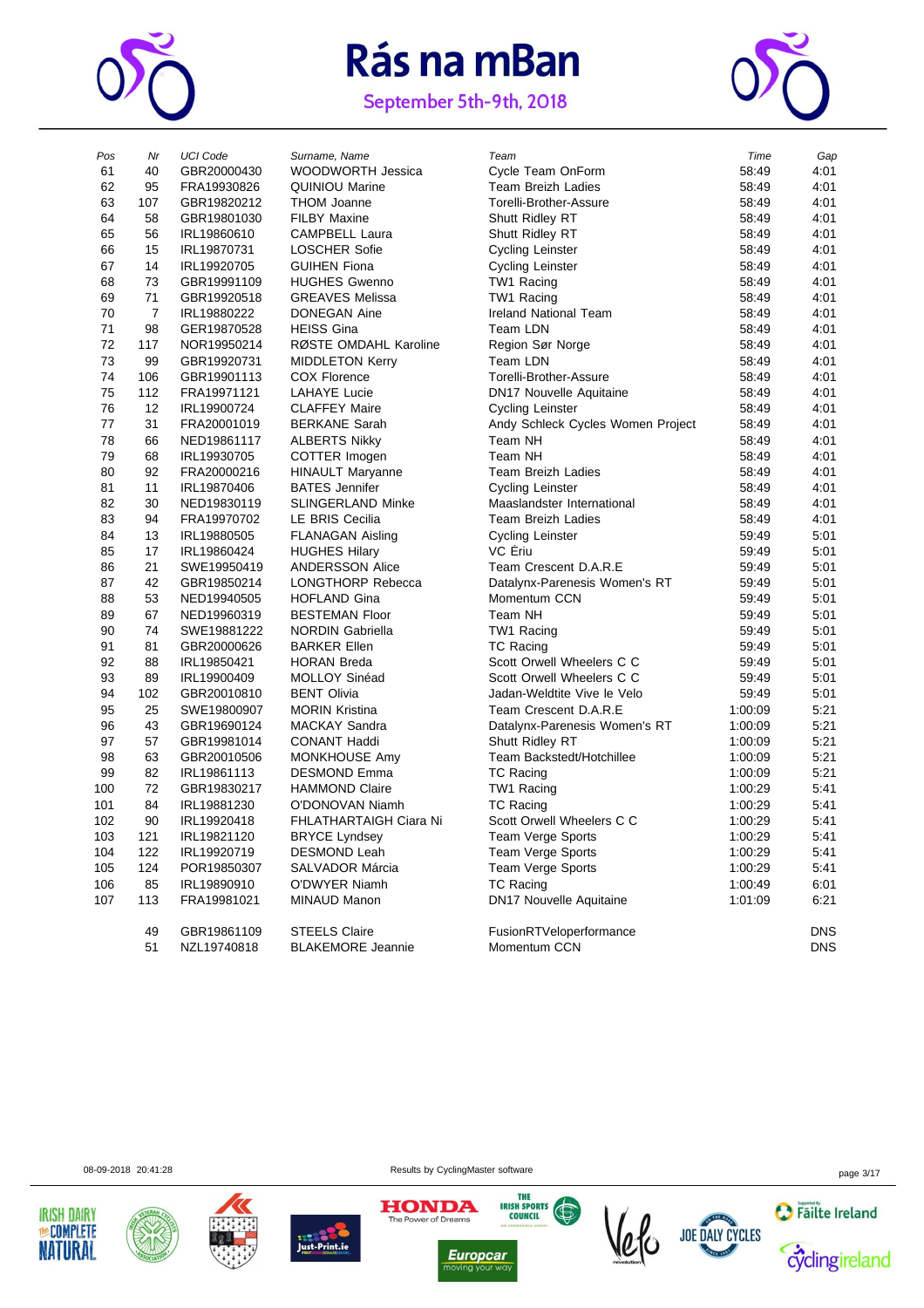

September 5th-9th, 2018



| Pos | Nr             | <b>UCI Code</b> | Surname, Name            | Team                              | Time    | Gap        |
|-----|----------------|-----------------|--------------------------|-----------------------------------|---------|------------|
| 61  | 40             | GBR20000430     | <b>WOODWORTH Jessica</b> | Cycle Team OnForm                 | 58:49   | 4:01       |
| 62  | 95             | FRA19930826     | <b>QUINIOU Marine</b>    | Team Breizh Ladies                | 58:49   | 4:01       |
| 63  | 107            | GBR19820212     | <b>THOM Joanne</b>       | Torelli-Brother-Assure            | 58:49   | 4:01       |
| 64  | 58             | GBR19801030     | <b>FILBY Maxine</b>      | Shutt Ridley RT                   | 58:49   | 4:01       |
| 65  | 56             | IRL19860610     | <b>CAMPBELL Laura</b>    | Shutt Ridley RT                   | 58:49   | 4:01       |
| 66  | 15             | IRL19870731     | <b>LOSCHER Sofie</b>     | <b>Cycling Leinster</b>           | 58:49   | 4:01       |
| 67  | 14             | IRL19920705     | <b>GUIHEN Fiona</b>      | <b>Cycling Leinster</b>           | 58:49   | 4:01       |
| 68  | 73             | GBR19991109     | <b>HUGHES Gwenno</b>     | TW1 Racing                        | 58:49   | 4:01       |
| 69  | 71             | GBR19920518     | <b>GREAVES Melissa</b>   | TW1 Racing                        | 58:49   | 4:01       |
| 70  | $\overline{7}$ | IRL19880222     | <b>DONEGAN Aine</b>      | <b>Ireland National Team</b>      | 58:49   | 4:01       |
| 71  | 98             | GER19870528     | <b>HEISS Gina</b>        | Team LDN                          | 58:49   | 4:01       |
| 72  | 117            | NOR19950214     | RØSTE OMDAHL Karoline    | Region Sør Norge                  | 58:49   | 4:01       |
| 73  | 99             | GBR19920731     | <b>MIDDLETON Kerry</b>   | Team LDN                          | 58:49   | 4:01       |
| 74  | 106            | GBR19901113     | <b>COX Florence</b>      | Torelli-Brother-Assure            | 58:49   | 4:01       |
| 75  | 112            | FRA19971121     | <b>LAHAYE Lucie</b>      | DN17 Nouvelle Aquitaine           | 58:49   | 4:01       |
| 76  | 12             | IRL19900724     | <b>CLAFFEY Maire</b>     | <b>Cycling Leinster</b>           | 58:49   | 4:01       |
| 77  | 31             | FRA20001019     | <b>BERKANE Sarah</b>     | Andy Schleck Cycles Women Project | 58:49   | 4:01       |
| 78  | 66             | NED19861117     | <b>ALBERTS Nikky</b>     | Team NH                           | 58:49   | 4:01       |
| 79  | 68             | IRL19930705     | COTTER Imogen            | Team NH                           | 58:49   | 4:01       |
| 80  | 92             | FRA20000216     | <b>HINAULT Maryanne</b>  | <b>Team Breizh Ladies</b>         | 58:49   | 4:01       |
| 81  | 11             | IRL19870406     | <b>BATES</b> Jennifer    | <b>Cycling Leinster</b>           | 58:49   | 4:01       |
| 82  | 30             | NED19830119     | <b>SLINGERLAND Minke</b> | Maaslandster International        | 58:49   | 4:01       |
| 83  | 94             | FRA19970702     | LE BRIS Cecilia          | <b>Team Breizh Ladies</b>         | 58:49   | 4:01       |
| 84  | 13             | IRL19880505     | <b>FLANAGAN Aisling</b>  | <b>Cycling Leinster</b>           | 59:49   | 5:01       |
| 85  | 17             | IRL19860424     | <b>HUGHES Hilary</b>     | VC Ériu                           | 59:49   | 5:01       |
| 86  | 21             | SWE19950419     | <b>ANDERSSON Alice</b>   | Team Crescent D.A.R.E             | 59:49   | 5:01       |
| 87  | 42             | GBR19850214     | <b>LONGTHORP Rebecca</b> | Datalynx-Parenesis Women's RT     | 59:49   | 5:01       |
| 88  | 53             | NED19940505     | <b>HOFLAND Gina</b>      | Momentum CCN                      | 59:49   | 5:01       |
| 89  | 67             | NED19960319     | <b>BESTEMAN Floor</b>    | Team NH                           | 59:49   | 5:01       |
| 90  | 74             | SWE19881222     | <b>NORDIN Gabriella</b>  | TW1 Racing                        | 59:49   | 5:01       |
| 91  | 81             | GBR20000626     | <b>BARKER Ellen</b>      | <b>TC Racing</b>                  | 59:49   | 5:01       |
| 92  | 88             | IRL19850421     | <b>HORAN Breda</b>       | Scott Orwell Wheelers C C         | 59:49   | 5:01       |
| 93  | 89             | IRL19900409     | MOLLOY Sinéad            | Scott Orwell Wheelers C C         | 59:49   | 5:01       |
| 94  | 102            | GBR20010810     | <b>BENT Olivia</b>       | Jadan-Weldtite Vive le Velo       | 59:49   | 5:01       |
| 95  | 25             | SWE19800907     | <b>MORIN Kristina</b>    | Team Crescent D.A.R.E             | 1:00:09 | 5:21       |
| 96  | 43             | GBR19690124     | MACKAY Sandra            | Datalynx-Parenesis Women's RT     | 1:00:09 | 5:21       |
| 97  | 57             | GBR19981014     | <b>CONANT Haddi</b>      | Shutt Ridley RT                   | 1:00:09 | 5:21       |
| 98  | 63             | GBR20010506     | MONKHOUSE Amy            | Team Backstedt/Hotchillee         | 1:00:09 | 5:21       |
| 99  | 82             | IRL19861113     | <b>DESMOND Emma</b>      | <b>TC Racing</b>                  | 1:00:09 | 5:21       |
| 100 | 72             | GBR19830217     | <b>HAMMOND Claire</b>    | TW1 Racing                        | 1:00:29 | 5:41       |
| 101 | 84             | IRL19881230     | O'DONOVAN Niamh          | <b>TC Racing</b>                  | 1:00:29 | 5.41       |
| 102 | 90             | IRL19920418     | FHLATHARTAIGH Ciara Ni   | Scott Orwell Wheelers C C         | 1:00:29 | 5:41       |
| 103 | 121            | IRL19821120     | <b>BRYCE Lyndsey</b>     | Team Verge Sports                 | 1:00:29 | 5:41       |
| 104 | 122            | IRL19920719     | <b>DESMOND Leah</b>      | Team Verge Sports                 | 1:00:29 | 5:41       |
| 105 | 124            | POR19850307     | SALVADOR Márcia          | <b>Team Verge Sports</b>          | 1:00:29 | 5:41       |
| 106 | 85             | IRL19890910     | O'DWYER Niamh            | <b>TC Racing</b>                  | 1:00:49 | 6:01       |
| 107 | 113            | FRA19981021     | MINAUD Manon             | DN17 Nouvelle Aquitaine           | 1:01:09 | 6:21       |
|     | 49             | GBR19861109     | <b>STEELS Claire</b>     | FusionRTVeloperformance           |         | <b>DNS</b> |
|     | 51             | NZL19740818     | <b>BLAKEMORE Jeannie</b> | Momentum CCN                      |         | <b>DNS</b> |
|     |                |                 |                          |                                   |         |            |

| ros | Nr.            | UCI Code    | Surname, Name            | ı eam                             | <i>i</i> ime | Gap        |
|-----|----------------|-------------|--------------------------|-----------------------------------|--------------|------------|
| 61  | 40             | GBR20000430 | <b>WOODWORTH Jessica</b> | Cycle Team OnForm                 | 58:49        | 4:01       |
| 62  | 95             | FRA19930826 | <b>QUINIOU Marine</b>    | <b>Team Breizh Ladies</b>         | 58:49        | 4:01       |
| 63  | 107            | GBR19820212 | <b>THOM Joanne</b>       | Torelli-Brother-Assure            | 58:49        | 4:01       |
| 64  | 58             | GBR19801030 | <b>FILBY Maxine</b>      | Shutt Ridley RT                   | 58:49        | 4:01       |
| 65  | 56             | IRL19860610 | <b>CAMPBELL Laura</b>    | Shutt Ridley RT                   | 58:49        | 4:01       |
| 66  | 15             | IRL19870731 | <b>LOSCHER Sofie</b>     | <b>Cycling Leinster</b>           | 58:49        | 4:01       |
| 67  | 14             | IRL19920705 | <b>GUIHEN Fiona</b>      | Cycling Leinster                  | 58:49        | 4:01       |
| 68  | 73             | GBR19991109 | <b>HUGHES Gwenno</b>     | TW1 Racing                        | 58:49        | 4:01       |
| 69  | 71             | GBR19920518 | <b>GREAVES Melissa</b>   | TW1 Racing                        | 58:49        | 4:01       |
| 70  | $\overline{7}$ | IRL19880222 | <b>DONEGAN Aine</b>      | Ireland National Team             | 58:49        | 4:01       |
| 71  | 98             | GER19870528 | <b>HEISS Gina</b>        | Team LDN                          | 58:49        | 4:01       |
| 72  | 117            | NOR19950214 | RØSTE OMDAHL Karoline    | Region Sør Norge                  | 58:49        | 4:01       |
| 73  | 99             | GBR19920731 | <b>MIDDLETON Kerry</b>   | Team LDN                          | 58:49        | 4:01       |
| 74  | 106            | GBR19901113 | COX Florence             | Torelli-Brother-Assure            | 58:49        | 4:01       |
| 75  | 112            | FRA19971121 | <b>LAHAYE Lucie</b>      | <b>DN17 Nouvelle Aquitaine</b>    | 58:49        | 4:01       |
| 76  | 12             | IRL19900724 | <b>CLAFFEY Maire</b>     | <b>Cycling Leinster</b>           | 58:49        | 4:01       |
| 77  | 31             | FRA20001019 | <b>BERKANE Sarah</b>     | Andy Schleck Cycles Women Project | 58:49        | 4:01       |
| 78  | 66             | NED19861117 | <b>ALBERTS Nikky</b>     | Team NH                           | 58:49        | 4:01       |
| 79  | 68             | IRL19930705 | COTTER Imogen            | Team NH                           | 58:49        | 4:01       |
| 80  | 92             | FRA20000216 | <b>HINAULT Maryanne</b>  | <b>Team Breizh Ladies</b>         | 58:49        | 4:01       |
| 81  | 11             | IRL19870406 | <b>BATES</b> Jennifer    | <b>Cycling Leinster</b>           | 58:49        | 4:01       |
| 82  | 30             | NED19830119 | SLINGERLAND Minke        | Maaslandster International        | 58:49        | 4:01       |
| 83  | 94             | FRA19970702 | LE BRIS Cecilia          | <b>Team Breizh Ladies</b>         | 58:49        | 4:01       |
| 84  | 13             | IRL19880505 | <b>FLANAGAN Aisling</b>  | <b>Cycling Leinster</b>           | 59:49        | 5:01       |
| 85  | 17             | IRL19860424 | <b>HUGHES Hilary</b>     | VC Eriu                           | 59:49        | 5:01       |
| 86  | 21             | SWE19950419 | <b>ANDERSSON Alice</b>   | Team Crescent D.A.R.E             | 59:49        | 5:01       |
| 87  | 42             | GBR19850214 | LONGTHORP Rebecca        | Datalynx-Parenesis Women's RT     | 59:49        | 5:01       |
| 88  | 53             | NED19940505 | <b>HOFLAND Gina</b>      | Momentum CCN                      | 59:49        | 5:01       |
| 89  | 67             | NED19960319 | <b>BESTEMAN Floor</b>    | Team NH                           | 59:49        | 5:01       |
| 90  | 74             | SWE19881222 | <b>NORDIN Gabriella</b>  | TW1 Racing                        | 59:49        | 5:01       |
| 91  | 81             | GBR20000626 | <b>BARKER Ellen</b>      | <b>TC Racing</b>                  | 59:49        | 5:01       |
| 92  | 88             | IRL19850421 | <b>HORAN Breda</b>       | Scott Orwell Wheelers C C         | 59:49        | 5:01       |
| 93  | 89             | IRL19900409 | MOLLOY Sinéad            | Scott Orwell Wheelers C C         | 59:49        | 5:01       |
| 94  | 102            | GBR20010810 | <b>BENT Olivia</b>       | Jadan-Weldtite Vive le Velo       | 59:49        | 5:01       |
| 95  | 25             | SWE19800907 | <b>MORIN Kristina</b>    | Team Crescent D.A.R.E             | 1:00:09      | 5:21       |
| 96  | 43             | GBR19690124 | MACKAY Sandra            | Datalynx-Parenesis Women's RT     | 1:00:09      | 5:21       |
| 97  | 57             | GBR19981014 | CONANT Haddi             | Shutt Ridley RT                   | 1:00:09      | 5:21       |
| 98  | 63             | GBR20010506 | MONKHOUSE Amy            | Team Backstedt/Hotchillee         | 1:00:09      | 5:21       |
| 99  | 82             | IRL19861113 | <b>DESMOND Emma</b>      | <b>TC Racing</b>                  | 1:00:09      | 5:21       |
| 100 | 72             | GBR19830217 | <b>HAMMOND Claire</b>    | TW1 Racing                        | 1:00:29      | 5:41       |
| 101 | 84             | IRL19881230 | O'DONOVAN Niamh          | <b>TC Racing</b>                  | 1:00:29      | 5:41       |
| 102 | 90             | IRL19920418 | FHLATHARTAIGH Ciara Ni   | Scott Orwell Wheelers C C         | 1:00:29      | 5:41       |
| 103 | 121            | IRL19821120 | <b>BRYCE Lyndsey</b>     | <b>Team Verge Sports</b>          | 1:00:29      | 5:41       |
| 104 | 122            | IRL19920719 | <b>DESMOND Leah</b>      | <b>Team Verge Sports</b>          | 1:00:29      | 5:41       |
| 105 | 124            | POR19850307 | SALVADOR Márcia          | Team Verge Sports                 | 1:00:29      | 5:41       |
| 106 | 85             | IRL19890910 | O'DWYER Niamh            | <b>TC Racing</b>                  | 1:00:49      | 6:01       |
| 107 | 113            | FRA19981021 | MINAUD Manon             | DN17 Nouvelle Aquitaine           | 1:01:09      | 6:21       |
|     | 49             | GBR19861109 | <b>STEELS Claire</b>     | FusionRTVeloperformance           |              | <b>DNS</b> |
|     | 51             | NZL19740818 | <b>BLAKEMORE Jeannie</b> | Momentum CCN                      |              | <b>DNS</b> |
|     |                |             |                          |                                   |              |            |













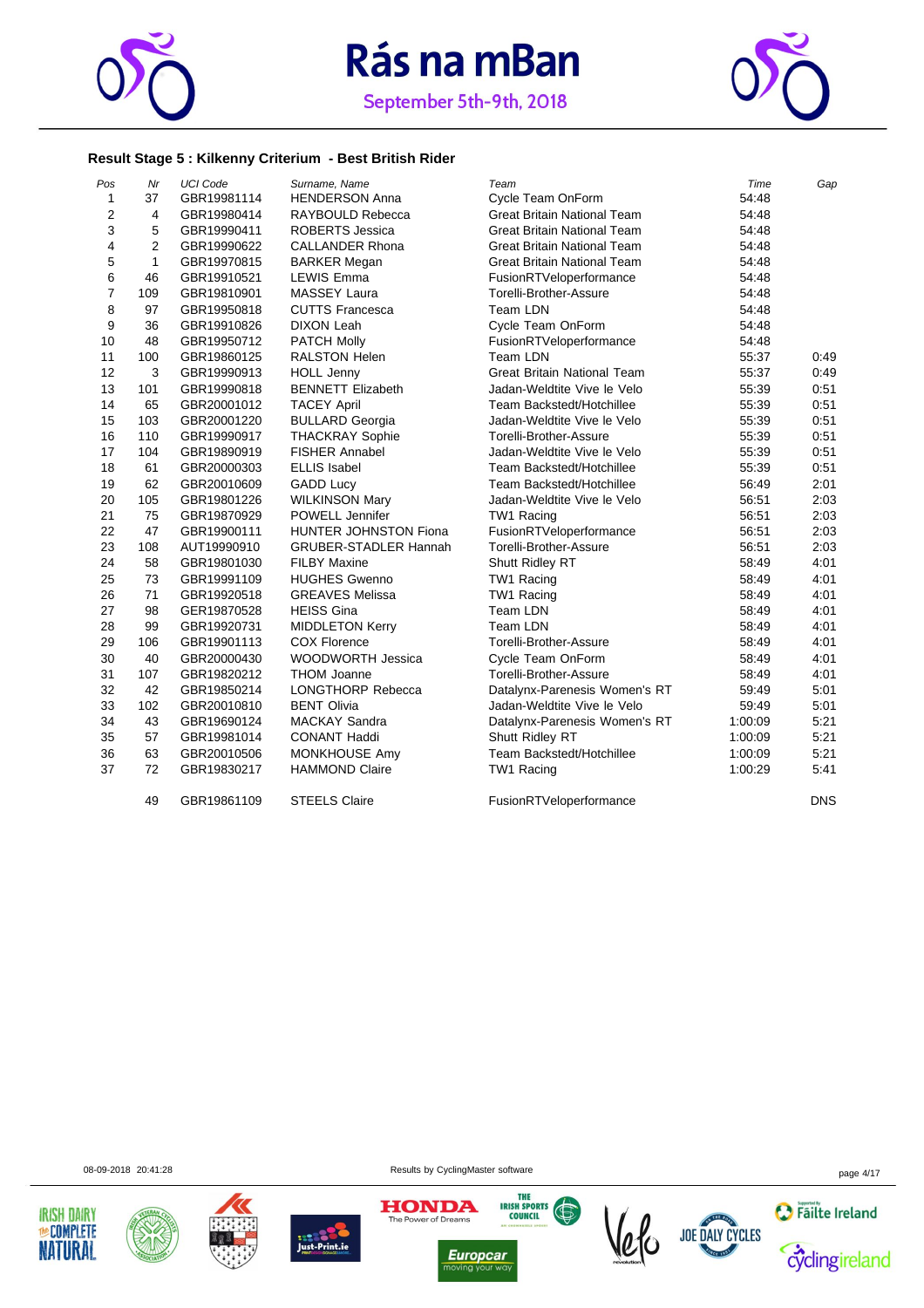



#### **Result Stage 5 : Kilkenny Criterium - Best British Rider**

| Pos            | Nr             | <b>UCI Code</b> | Surname, Name                | Team                               | Time    | Gap        |
|----------------|----------------|-----------------|------------------------------|------------------------------------|---------|------------|
| $\mathbf{1}$   | 37             | GBR19981114     | <b>HENDERSON Anna</b>        | <b>Cycle Team OnForm</b>           | 54:48   |            |
| $\overline{2}$ | 4              | GBR19980414     | RAYBOULD Rebecca             | <b>Great Britain National Team</b> | 54:48   |            |
| 3              | 5              | GBR19990411     | <b>ROBERTS Jessica</b>       | <b>Great Britain National Team</b> | 54:48   |            |
| 4              | $\overline{2}$ | GBR19990622     | <b>CALLANDER Rhona</b>       | <b>Great Britain National Team</b> | 54:48   |            |
| 5              | $\mathbf{1}$   | GBR19970815     | <b>BARKER Megan</b>          | <b>Great Britain National Team</b> | 54:48   |            |
| 6              | 46             | GBR19910521     | <b>LEWIS Emma</b>            | FusionRTVeloperformance            | 54:48   |            |
| $\overline{7}$ | 109            | GBR19810901     | <b>MASSEY Laura</b>          | Torelli-Brother-Assure             | 54:48   |            |
| 8              | 97             | GBR19950818     | <b>CUTTS Francesca</b>       | Team LDN                           | 54:48   |            |
| 9              | 36             | GBR19910826     | <b>DIXON Leah</b>            | Cycle Team OnForm                  | 54:48   |            |
| 10             | 48             | GBR19950712     | <b>PATCH Molly</b>           | FusionRTVeloperformance            | 54:48   |            |
| 11             | 100            | GBR19860125     | <b>RALSTON Helen</b>         | Team LDN                           | 55:37   | 0:49       |
| 12             | 3              | GBR19990913     | <b>HOLL Jenny</b>            | <b>Great Britain National Team</b> | 55:37   | 0:49       |
| 13             | 101            | GBR19990818     | <b>BENNETT Elizabeth</b>     | Jadan-Weldtite Vive le Velo        | 55:39   | 0:51       |
| 14             | 65             | GBR20001012     | <b>TACEY April</b>           | Team Backstedt/Hotchillee          | 55:39   | 0:51       |
| 15             | 103            | GBR20001220     | <b>BULLARD Georgia</b>       | Jadan-Weldtite Vive le Velo        | 55:39   | 0:51       |
| 16             | 110            | GBR19990917     | <b>THACKRAY Sophie</b>       | Torelli-Brother-Assure             | 55:39   | 0:51       |
| 17             | 104            | GBR19890919     | <b>FISHER Annabel</b>        | Jadan-Weldtite Vive le Velo        | 55:39   | 0:51       |
| 18             | 61             | GBR20000303     | <b>ELLIS Isabel</b>          | Team Backstedt/Hotchillee          | 55:39   | 0:51       |
| 19             | 62             | GBR20010609     | <b>GADD Lucy</b>             | Team Backstedt/Hotchillee          | 56:49   | 2:01       |
| 20             | 105            | GBR19801226     | <b>WILKINSON Mary</b>        | Jadan-Weldtite Vive le Velo        | 56:51   | 2:03       |
| 21             | 75             | GBR19870929     | POWELL Jennifer              | TW1 Racing                         | 56:51   | 2:03       |
| 22             | 47             | GBR19900111     | HUNTER JOHNSTON Fiona        | FusionRTVeloperformance            | 56:51   | 2:03       |
| 23             | 108            | AUT19990910     | <b>GRUBER-STADLER Hannah</b> | Torelli-Brother-Assure             | 56:51   | 2:03       |
| 24             | 58             | GBR19801030     | <b>FILBY Maxine</b>          | Shutt Ridley RT                    | 58:49   | 4:01       |
| 25             | 73             | GBR19991109     | <b>HUGHES Gwenno</b>         | TW1 Racing                         | 58:49   | 4:01       |
| 26             | 71             | GBR19920518     | <b>GREAVES Melissa</b>       | TW1 Racing                         | 58:49   | 4:01       |
| 27             | 98             | GER19870528     | <b>HEISS Gina</b>            | Team LDN                           | 58:49   | 4:01       |
| 28             | 99             | GBR19920731     | <b>MIDDLETON Kerry</b>       | Team LDN                           | 58:49   | 4:01       |
| 29             | 106            | GBR19901113     | <b>COX Florence</b>          | Torelli-Brother-Assure             | 58:49   | 4:01       |
| 30             | 40             | GBR20000430     | <b>WOODWORTH Jessica</b>     | Cycle Team OnForm                  | 58:49   | 4:01       |
| 31             | 107            | GBR19820212     | <b>THOM Joanne</b>           | Torelli-Brother-Assure             | 58:49   | 4:01       |
| 32             | 42             | GBR19850214     | <b>LONGTHORP Rebecca</b>     | Datalynx-Parenesis Women's RT      | 59:49   | 5:01       |
| 33             | 102            | GBR20010810     | <b>BENT Olivia</b>           | Jadan-Weldtite Vive le Velo        | 59:49   | 5:01       |
| 34             | 43             | GBR19690124     | <b>MACKAY Sandra</b>         | Datalynx-Parenesis Women's RT      | 1:00:09 | 5:21       |
| 35             | 57             | GBR19981014     | <b>CONANT Haddi</b>          | Shutt Ridley RT                    | 1:00:09 | 5:21       |
| 36             | 63             | GBR20010506     | <b>MONKHOUSE Amy</b>         | Team Backstedt/Hotchillee          | 1:00:09 | 5:21       |
| 37             | 72             | GBR19830217     | <b>HAMMOND Claire</b>        | TW1 Racing                         | 1:00:29 | 5:41       |
|                | 49             | GBR19861109     | <b>STEELS Claire</b>         | FusionRTVeloperformance            |         | <b>DNS</b> |













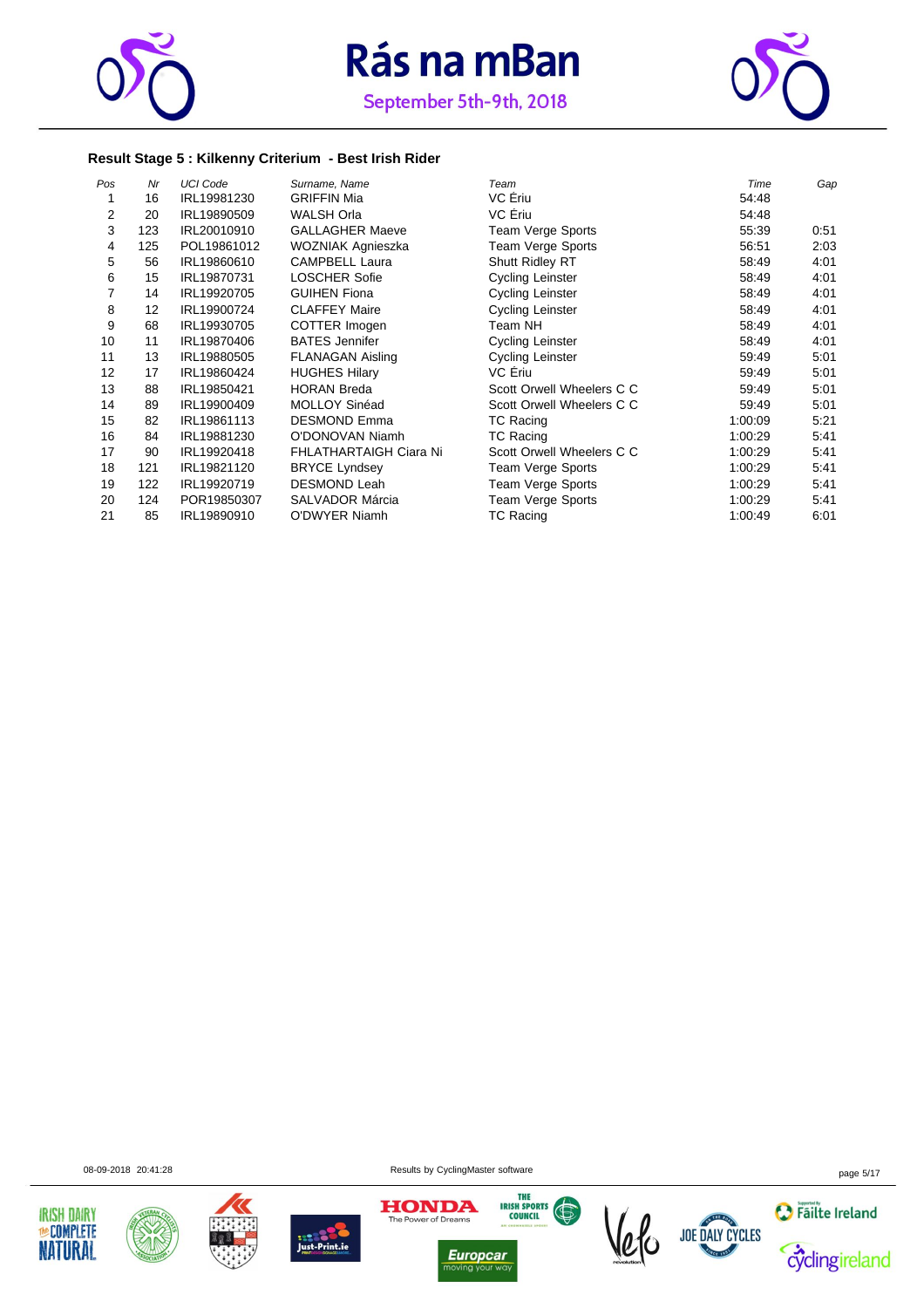



#### **Result Stage 5 : Kilkenny Criterium - Best Irish Rider**

| Pos | Nr  | <b>UCI Code</b> | Surname, Name                 | Team                      | Time    | Gap  |
|-----|-----|-----------------|-------------------------------|---------------------------|---------|------|
|     | 16  | IRL19981230     | <b>GRIFFIN Mia</b>            | VC Ériu                   | 54:48   |      |
| 2   | 20  | IRL19890509     | <b>WALSH Orla</b>             | VC Ériu                   | 54:48   |      |
| 3   | 123 | IRL20010910     | <b>GALLAGHER Maeve</b>        | Team Verge Sports         | 55:39   | 0:51 |
| 4   | 125 | POL19861012     | WOZNIAK Agnieszka             | Team Verge Sports         | 56:51   | 2:03 |
| 5   | 56  | IRL19860610     | <b>CAMPBELL Laura</b>         | <b>Shutt Ridley RT</b>    | 58:49   | 4:01 |
| 6   | 15  | IRL19870731     | <b>LOSCHER Sofie</b>          | <b>Cycling Leinster</b>   | 58:49   | 4:01 |
| 7   | 14  | IRL19920705     | <b>GUIHEN Fiona</b>           | Cycling Leinster          | 58:49   | 4:01 |
| 8   | 12  | IRL19900724     | <b>CLAFFEY Maire</b>          | Cycling Leinster          | 58:49   | 4:01 |
| 9   | 68  | IRL19930705     | COTTER Imogen                 | Team NH                   | 58:49   | 4:01 |
| 10  | 11  | IRL19870406     | <b>BATES Jennifer</b>         | <b>Cycling Leinster</b>   | 58:49   | 4:01 |
| 11  | 13  | IRL19880505     | <b>FLANAGAN Aisling</b>       | Cycling Leinster          | 59:49   | 5:01 |
| 12  | 17  | IRL19860424     | <b>HUGHES Hilary</b>          | VC Eriu                   | 59:49   | 5:01 |
| 13  | 88  | IRL19850421     | <b>HORAN Breda</b>            | Scott Orwell Wheelers C C | 59:49   | 5:01 |
| 14  | 89  | IRL19900409     | <b>MOLLOY Sinéad</b>          | Scott Orwell Wheelers C C | 59:49   | 5:01 |
| 15  | 82  | IRL19861113     | <b>DESMOND Emma</b>           | <b>TC Racing</b>          | 1:00:09 | 5:21 |
| 16  | 84  | IRL19881230     | O'DONOVAN Niamh               | <b>TC Racing</b>          | 1:00:29 | 5:41 |
| 17  | 90  | IRL19920418     | <b>FHLATHARTAIGH Ciara Ni</b> | Scott Orwell Wheelers C C | 1:00:29 | 5:41 |
| 18  | 121 | IRL19821120     | <b>BRYCE Lyndsey</b>          | Team Verge Sports         | 1:00:29 | 5:41 |
| 19  | 122 | IRL19920719     | <b>DESMOND Leah</b>           | Team Verge Sports         | 1:00:29 | 5:41 |
| 20  | 124 | POR19850307     | SALVADOR Márcia               | Team Verge Sports         | 1:00:29 | 5:41 |
| 21  | 85  | IRL19890910     | O'DWYER Niamh                 | <b>TC Racing</b>          | 1:00:49 | 6:01 |













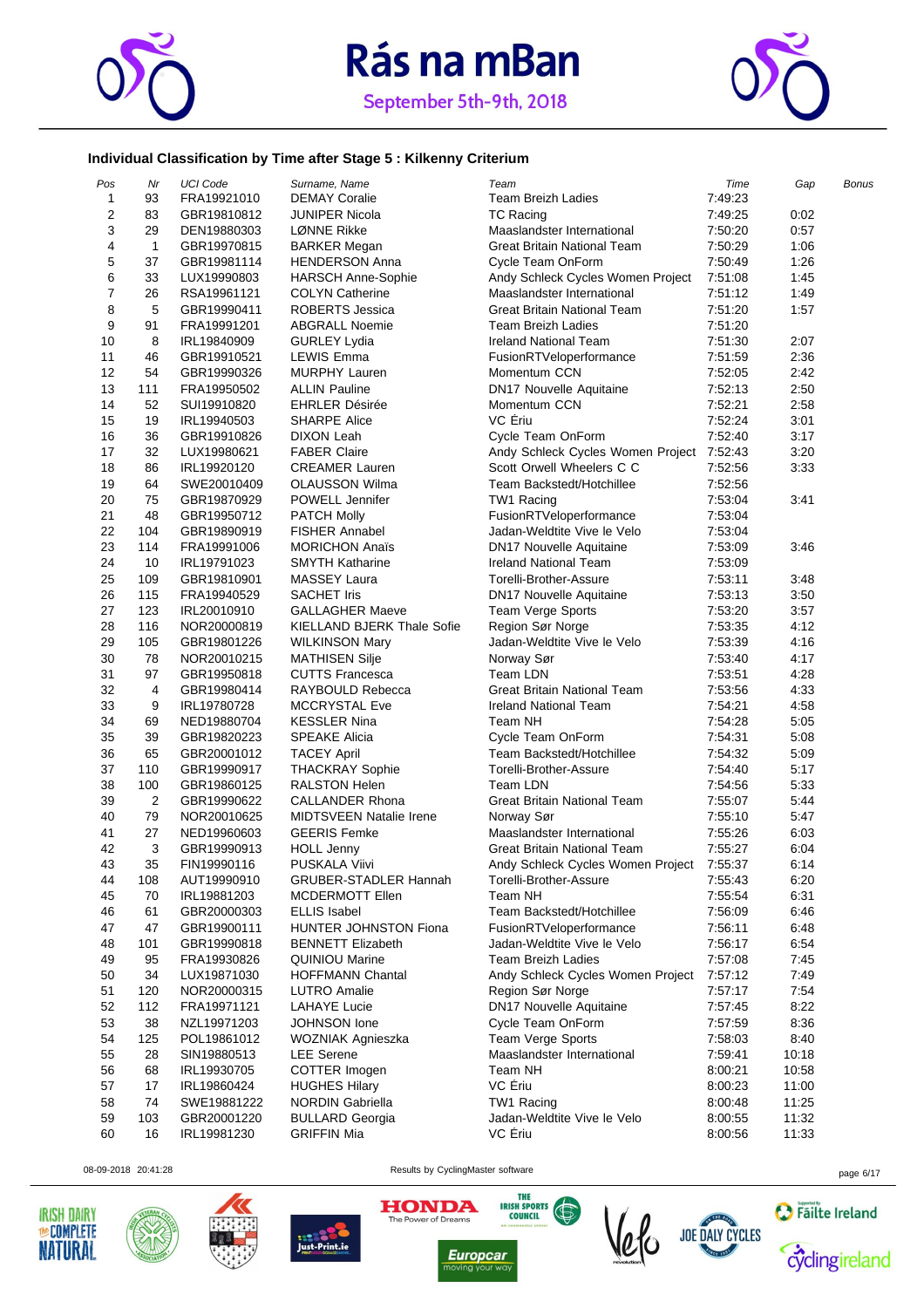



#### **Individual Classification by Time after Stage 5 : Kilkenny Criterium**

| Pos            | Nr           | <b>UCI Code</b> | Surname, Name                     | Team                                      | Time    | Gap   | Bonus |
|----------------|--------------|-----------------|-----------------------------------|-------------------------------------------|---------|-------|-------|
| 1              | 93           | FRA19921010     | <b>DEMAY Coralie</b>              | <b>Team Breizh Ladies</b>                 | 7:49:23 |       |       |
| $\overline{c}$ | 83           | GBR19810812     | JUNIPER Nicola                    | <b>TC Racing</b>                          | 7:49:25 | 0:02  |       |
| 3              | 29           | DEN19880303     | LØNNE Rikke                       | Maaslandster International                | 7:50:20 | 0:57  |       |
| 4              | $\mathbf{1}$ | GBR19970815     | <b>BARKER Megan</b>               | Great Britain National Team               | 7:50:29 | 1:06  |       |
| 5              | 37           | GBR19981114     | <b>HENDERSON Anna</b>             | Cycle Team OnForm                         | 7:50:49 | 1:26  |       |
| 6              | 33           | LUX19990803     | <b>HARSCH Anne-Sophie</b>         | Andy Schleck Cycles Women Project         | 7:51:08 | 1:45  |       |
| $\overline{7}$ | 26           | RSA19961121     | <b>COLYN Catherine</b>            | Maaslandster International                | 7:51:12 | 1:49  |       |
| 8              | 5            | GBR19990411     | <b>ROBERTS Jessica</b>            | Great Britain National Team               | 7:51:20 | 1:57  |       |
| 9              | 91           | FRA19991201     | <b>ABGRALL Noemie</b>             | <b>Team Breizh Ladies</b>                 | 7:51:20 |       |       |
| 10             | 8            | IRL19840909     | <b>GURLEY Lydia</b>               | <b>Ireland National Team</b>              | 7:51:30 | 2:07  |       |
| 11             | 46           | GBR19910521     | <b>LEWIS Emma</b>                 | FusionRTVeloperformance                   | 7:51:59 | 2:36  |       |
| 12             | 54           | GBR19990326     | <b>MURPHY Lauren</b>              | Momentum CCN                              | 7:52:05 | 2:42  |       |
| 13             | 111          | FRA19950502     | <b>ALLIN Pauline</b>              | DN17 Nouvelle Aquitaine                   | 7:52:13 | 2:50  |       |
| 14             | 52           | SUI19910820     | <b>EHRLER Désirée</b>             | Momentum CCN                              | 7:52:21 | 2:58  |       |
| 15             | 19           | IRL19940503     | <b>SHARPE Alice</b>               | VC Eriu                                   | 7:52:24 | 3:01  |       |
| 16             | 36           | GBR19910826     | DIXON Leah                        | Cycle Team OnForm                         | 7:52:40 | 3:17  |       |
| 17             | 32           | LUX19980621     | <b>FABER Claire</b>               | Andy Schleck Cycles Women Project 7:52:43 |         | 3:20  |       |
| 18             | 86           | IRL19920120     | <b>CREAMER Lauren</b>             | Scott Orwell Wheelers C C                 | 7:52:56 | 3:33  |       |
| 19             | 64           | SWE20010409     | <b>OLAUSSON Wilma</b>             | Team Backstedt/Hotchillee                 | 7:52:56 |       |       |
| 20             | 75           | GBR19870929     | POWELL Jennifer                   | TW1 Racing                                | 7:53:04 | 3:41  |       |
| 21             | 48           |                 |                                   |                                           | 7:53:04 |       |       |
|                |              | GBR19950712     | <b>PATCH Molly</b>                | FusionRTVeloperformance                   |         |       |       |
| 22             | 104          | GBR19890919     | <b>FISHER Annabel</b>             | Jadan-Weldtite Vive le Velo               | 7:53:04 |       |       |
| 23             | 114          | FRA19991006     | <b>MORICHON Anaïs</b>             | DN17 Nouvelle Aquitaine                   | 7:53:09 | 3:46  |       |
| 24             | 10           | IRL19791023     | <b>SMYTH Katharine</b>            | Ireland National Team                     | 7:53:09 |       |       |
| 25             | 109          | GBR19810901     | <b>MASSEY Laura</b>               | Torelli-Brother-Assure                    | 7:53:11 | 3:48  |       |
| 26             | 115          | FRA19940529     | <b>SACHET Iris</b>                | DN17 Nouvelle Aquitaine                   | 7:53:13 | 3:50  |       |
| 27             | 123          | IRL20010910     | <b>GALLAGHER Maeve</b>            | Team Verge Sports                         | 7:53:20 | 3:57  |       |
| 28             | 116          | NOR20000819     | <b>KIELLAND BJERK Thale Sofie</b> | Region Sør Norge                          | 7:53:35 | 4:12  |       |
| 29             | 105          | GBR19801226     | <b>WILKINSON Mary</b>             | Jadan-Weldtite Vive le Velo               | 7:53:39 | 4:16  |       |
| 30             | 78           | NOR20010215     | <b>MATHISEN Silje</b>             | Norway Sør                                | 7:53:40 | 4:17  |       |
| 31             | 97           | GBR19950818     | <b>CUTTS Francesca</b>            | Team LDN                                  | 7:53:51 | 4:28  |       |
| 32             | 4            | GBR19980414     | RAYBOULD Rebecca                  | Great Britain National Team               | 7:53:56 | 4:33  |       |
| 33             | 9            | IRL19780728     | <b>MCCRYSTAL Eve</b>              | <b>Ireland National Team</b>              | 7:54:21 | 4:58  |       |
| 34             | 69           | NED19880704     | <b>KESSLER Nina</b>               | Team NH                                   | 7:54:28 | 5:05  |       |
| 35             | 39           | GBR19820223     | <b>SPEAKE Alicia</b>              | Cycle Team OnForm                         | 7:54:31 | 5:08  |       |
| 36             | 65           | GBR20001012     | <b>TACEY April</b>                | Team Backstedt/Hotchillee                 | 7:54:32 | 5:09  |       |
| 37             | 110          | GBR19990917     | <b>THACKRAY Sophie</b>            | Torelli-Brother-Assure                    | 7:54:40 | 5:17  |       |
| 38             | 100          | GBR19860125     | <b>RALSTON Helen</b>              | Team LDN                                  | 7:54:56 | 5:33  |       |
| 39             | 2            | GBR19990622     | <b>CALLANDER Rhona</b>            | Great Britain National Team               | 7:55:07 | 5:44  |       |
| 40             | 79           | NOR20010625     | <b>MIDTSVEEN Natalie Irene</b>    | Norway Sør                                | 7:55:10 | 5:47  |       |
| 41             | 27           | NED19960603     | <b>GEERIS Femke</b>               | Maaslandster International                | 7:55:26 | 6:03  |       |
| 42             | 3            | GBR19990913     | <b>HOLL Jenny</b>                 | Great Britain National Team               | 7:55:27 | 6:04  |       |
| 43             | 35           | FIN19990116     | PUSKALA Viivi                     | Andy Schleck Cycles Women Project         | 7:55:37 | 6:14  |       |
| 44             | 108          | AUT19990910     | GRUBER-STADLER Hannah             | Torelli-Brother-Assure                    | 7:55:43 | 6:20  |       |
| 45             | 70           | IRL19881203     | <b>MCDERMOTT Ellen</b>            | Team NH                                   | 7:55:54 | 6:31  |       |
| 46             | 61           | GBR20000303     | <b>ELLIS Isabel</b>               | Team Backstedt/Hotchillee                 | 7:56:09 | 6:46  |       |
| 47             | 47           | GBR19900111     | HUNTER JOHNSTON Fiona             | FusionRTVeloperformance                   | 7:56:11 | 6:48  |       |
| 48             | 101          | GBR19990818     | <b>BENNETT Elizabeth</b>          | Jadan-Weldtite Vive le Velo               | 7:56:17 | 6:54  |       |
| 49             | 95           | FRA19930826     | <b>QUINIOU Marine</b>             | <b>Team Breizh Ladies</b>                 | 7:57:08 | 7:45  |       |
| 50             | 34           | LUX19871030     | <b>HOFFMANN Chantal</b>           | Andy Schleck Cycles Women Project         | 7:57:12 | 7:49  |       |
| 51             | 120          | NOR20000315     | <b>LUTRO</b> Amalie               | Region Sør Norge                          | 7:57:17 | 7:54  |       |
| 52             | 112          | FRA19971121     | <b>LAHAYE Lucie</b>               | <b>DN17 Nouvelle Aquitaine</b>            | 7:57:45 | 8:22  |       |
| 53             | 38           | NZL19971203     | JOHNSON lone                      | Cycle Team OnForm                         | 7:57:59 | 8:36  |       |
| 54             | 125          | POL19861012     | WOZNIAK Agnieszka                 | Team Verge Sports                         | 7:58:03 | 8:40  |       |
| 55             | 28           | SIN19880513     | <b>LEE</b> Serene                 | Maaslandster International                | 7:59:41 | 10:18 |       |
| 56             | 68           | IRL19930705     | COTTER Imogen                     | Team NH                                   | 8:00:21 | 10:58 |       |
| 57             | 17           | IRL19860424     | <b>HUGHES Hilary</b>              | VC Eriu                                   | 8:00:23 | 11:00 |       |
| 58             | 74           | SWE19881222     | NORDIN Gabriella                  | TW1 Racing                                | 8:00:48 | 11:25 |       |
| 59             | 103          | GBR20001220     | <b>BULLARD Georgia</b>            | Jadan-Weldtite Vive le Velo               | 8:00:55 | 11:32 |       |
| 60             | 16           | IRL19981230     | <b>GRIFFIN Mia</b>                | VC Ériu                                   | 8:00:56 | 11:33 |       |
|                |              |                 |                                   |                                           |         |       |       |











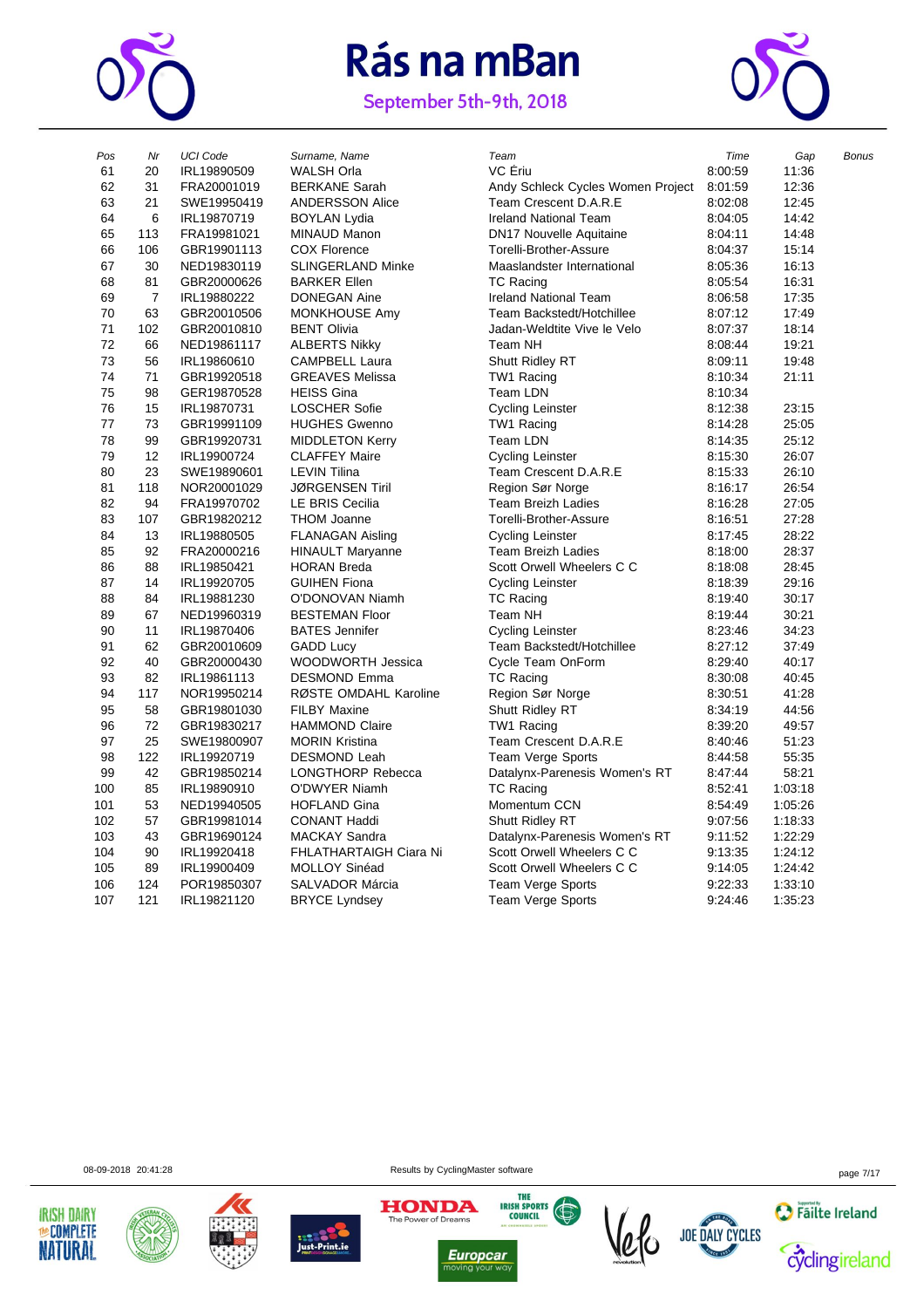

September 5th-9th, 2018



| Pos | Nr             | <b>UCI Code</b> | Surname, Name            | Team                              | Time    | Gap     | <b>Bonus</b> |
|-----|----------------|-----------------|--------------------------|-----------------------------------|---------|---------|--------------|
| 61  | 20             | IRL19890509     | <b>WALSH Orla</b>        | VC Ériu                           | 8:00:59 | 11:36   |              |
| 62  | 31             | FRA20001019     | <b>BERKANE Sarah</b>     | Andy Schleck Cycles Women Project | 8:01:59 | 12:36   |              |
| 63  | 21             | SWE19950419     | <b>ANDERSSON Alice</b>   | Team Crescent D.A.R.E             | 8:02:08 | 12:45   |              |
| 64  | 6              | IRL19870719     | <b>BOYLAN Lydia</b>      | <b>Ireland National Team</b>      | 8:04:05 | 14:42   |              |
| 65  | 113            | FRA19981021     | <b>MINAUD Manon</b>      | <b>DN17 Nouvelle Aquitaine</b>    | 8:04:11 | 14:48   |              |
| 66  | 106            | GBR19901113     | <b>COX Florence</b>      | Torelli-Brother-Assure            | 8:04:37 | 15:14   |              |
| 67  | 30             | NED19830119     | <b>SLINGERLAND Minke</b> | Maaslandster International        | 8:05:36 | 16:13   |              |
| 68  | 81             | GBR20000626     | <b>BARKER Ellen</b>      | <b>TC Racing</b>                  | 8:05:54 | 16:31   |              |
| 69  | $\overline{7}$ | IRL19880222     | DONEGAN Aine             | <b>Ireland National Team</b>      | 8:06:58 | 17:35   |              |
| 70  | 63             | GBR20010506     | MONKHOUSE Amy            | Team Backstedt/Hotchillee         | 8:07:12 | 17:49   |              |
| 71  | 102            | GBR20010810     | <b>BENT Olivia</b>       | Jadan-Weldtite Vive le Velo       | 8:07:37 | 18:14   |              |
| 72  | 66             | NED19861117     | <b>ALBERTS Nikky</b>     | Team NH                           | 8:08:44 | 19:21   |              |
| 73  | 56             | IRL19860610     | <b>CAMPBELL Laura</b>    | <b>Shutt Ridley RT</b>            | 8:09:11 | 19:48   |              |
| 74  | 71             | GBR19920518     | <b>GREAVES Melissa</b>   | TW1 Racing                        | 8:10:34 | 21:11   |              |
| 75  | 98             | GER19870528     | <b>HEISS Gina</b>        | Team LDN                          | 8:10:34 |         |              |
| 76  | 15             | IRL19870731     | <b>LOSCHER Sofie</b>     | Cycling Leinster                  | 8:12:38 | 23:15   |              |
| 77  | 73             | GBR19991109     | <b>HUGHES Gwenno</b>     | TW1 Racing                        | 8:14:28 | 25:05   |              |
| 78  | 99             | GBR19920731     | <b>MIDDLETON Kerry</b>   | <b>Team LDN</b>                   | 8:14:35 | 25:12   |              |
| 79  | 12             | IRL19900724     | <b>CLAFFEY Maire</b>     | Cycling Leinster                  | 8:15:30 | 26:07   |              |
| 80  | 23             | SWE19890601     | <b>LEVIN Tilina</b>      | Team Crescent D.A.R.E             | 8:15:33 | 26:10   |              |
| 81  | 118            | NOR20001029     | <b>JØRGENSEN Tiril</b>   | Region Sør Norge                  | 8:16:17 | 26:54   |              |
| 82  | 94             | FRA19970702     | <b>LE BRIS Cecilia</b>   | Team Breizh Ladies                | 8:16:28 | 27:05   |              |
| 83  | 107            | GBR19820212     | <b>THOM Joanne</b>       | Torelli-Brother-Assure            | 8:16:51 | 27:28   |              |
| 84  | 13             | IRL19880505     | <b>FLANAGAN Aisling</b>  | Cycling Leinster                  | 8:17:45 | 28:22   |              |
| 85  | 92             | FRA20000216     | <b>HINAULT Maryanne</b>  | <b>Team Breizh Ladies</b>         | 8:18:00 | 28:37   |              |
| 86  | 88             | IRL19850421     | <b>HORAN Breda</b>       | Scott Orwell Wheelers C C         | 8:18:08 | 28:45   |              |
| 87  | 14             | IRL19920705     | <b>GUIHEN Fiona</b>      | Cycling Leinster                  | 8:18:39 | 29:16   |              |
| 88  | 84             | IRL19881230     | O'DONOVAN Niamh          | <b>TC Racing</b>                  | 8:19:40 | 30:17   |              |
| 89  | 67             | NED19960319     | <b>BESTEMAN Floor</b>    | Team NH                           | 8:19:44 | 30:21   |              |
| 90  | 11             | IRL19870406     | <b>BATES Jennifer</b>    | <b>Cycling Leinster</b>           | 8:23:46 | 34:23   |              |
| 91  | 62             | GBR20010609     | <b>GADD Lucy</b>         | Team Backstedt/Hotchillee         | 8:27:12 | 37:49   |              |
| 92  | 40             | GBR20000430     | <b>WOODWORTH Jessica</b> | Cycle Team OnForm                 | 8:29:40 | 40:17   |              |
| 93  | 82             | IRL19861113     | <b>DESMOND Emma</b>      | <b>TC Racing</b>                  | 8:30:08 | 40:45   |              |
| 94  | 117            | NOR19950214     | RØSTE OMDAHL Karoline    | Region Sør Norge                  | 8:30:51 | 41:28   |              |
| 95  | 58             | GBR19801030     | <b>FILBY Maxine</b>      | Shutt Ridley RT                   | 8:34:19 | 44:56   |              |
| 96  | 72             | GBR19830217     | <b>HAMMOND Claire</b>    | TW1 Racing                        | 8:39:20 | 49:57   |              |
| 97  | 25             | SWE19800907     | <b>MORIN Kristina</b>    | Team Crescent D.A.R.E             | 8:40:46 | 51:23   |              |
| 98  | 122            | IRL19920719     | <b>DESMOND Leah</b>      | Team Verge Sports                 | 8:44:58 | 55:35   |              |
| 99  | 42             | GBR19850214     | LONGTHORP Rebecca        | Datalynx-Parenesis Women's RT     | 8:47:44 | 58:21   |              |
| 100 | 85             | IRL19890910     | O'DWYER Niamh            | <b>TC Racing</b>                  | 8:52:41 | 1:03:18 |              |
| 101 | 53             | NED19940505     | <b>HOFLAND Gina</b>      | Momentum CCN                      | 8:54:49 | 1:05:26 |              |
| 102 | 57             | GBR19981014     | <b>CONANT Haddi</b>      | <b>Shutt Ridley RT</b>            | 9:07:56 | 1:18:33 |              |
| 103 | 43             | GBR19690124     | <b>MACKAY Sandra</b>     | Datalynx-Parenesis Women's RT     | 9:11:52 | 1:22:29 |              |
| 104 | 90             | IRL19920418     | FHLATHARTAIGH Ciara Ni   | Scott Orwell Wheelers C C         | 9:13:35 | 1.24:12 |              |
| 105 | 89             | IRL19900409     | MOLLOY Sinéad            | Scott Orwell Wheelers C C         | 9:14:05 | 1:24:42 |              |
| 106 | 124            | POR19850307     | SALVADOR Márcia          | Team Verge Sports                 | 9:22:33 | 1:33:10 |              |
| 107 | 121            | IRL19821120     | <b>BRYCE Lyndsey</b>     | <b>Team Verge Sports</b>          | 9:24:46 | 1:35:23 |              |
|     |                |                 |                          |                                   |         |         |              |

08-09-2018 20:41:28 page 7/17













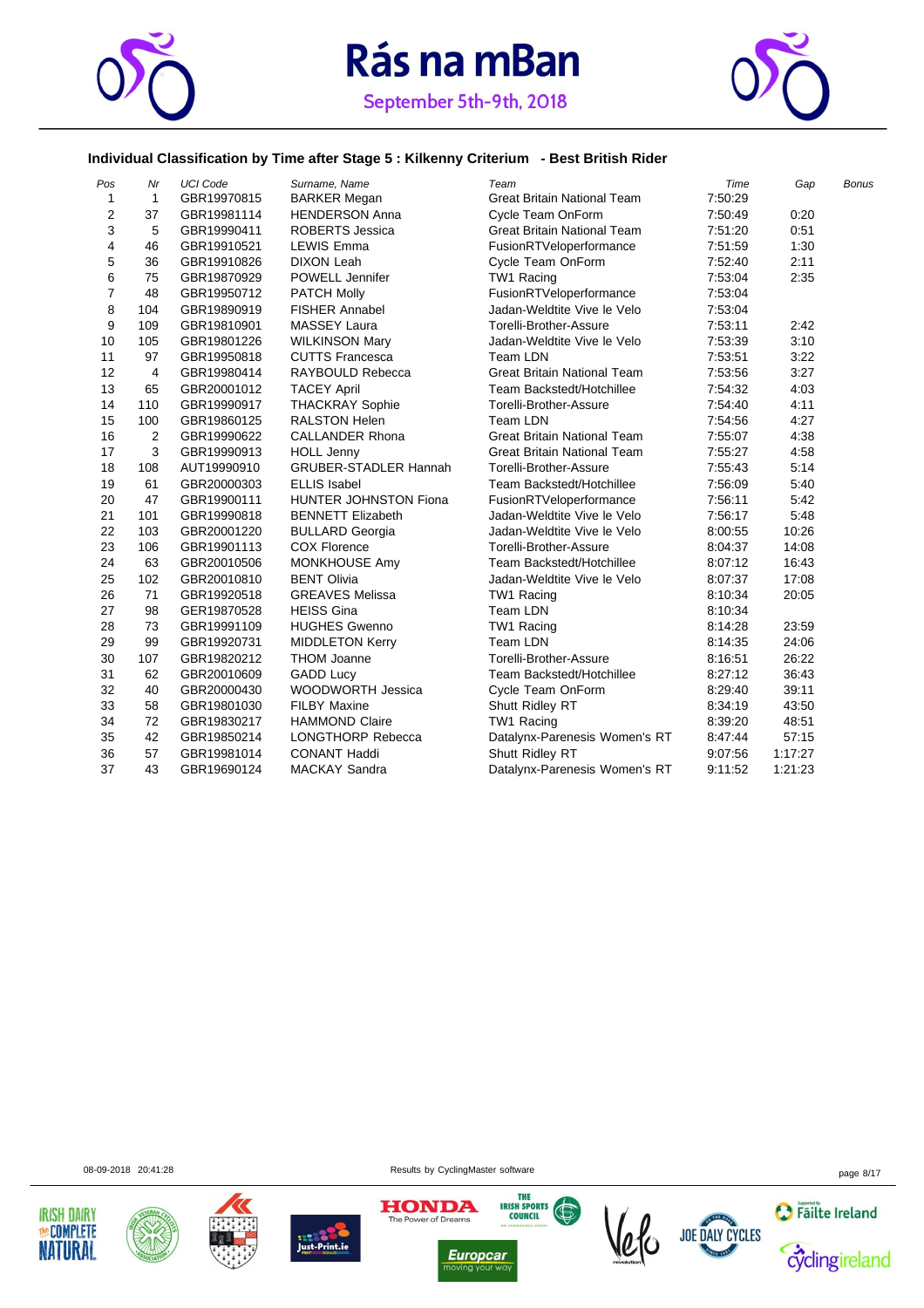



#### **Individual Classification by Time after Stage 5 : Kilkenny Criterium - Best British Rider**

| Pos                     | Nr           | <b>UCI Code</b> | Surname, Name                | Team                               | Time    | Gap     | Bonus |
|-------------------------|--------------|-----------------|------------------------------|------------------------------------|---------|---------|-------|
| $\mathbf{1}$            | $\mathbf{1}$ | GBR19970815     | <b>BARKER Megan</b>          | <b>Great Britain National Team</b> | 7:50:29 |         |       |
| $\overline{\mathbf{c}}$ | 37           | GBR19981114     | <b>HENDERSON Anna</b>        | Cycle Team OnForm                  | 7:50:49 | 0:20    |       |
| 3                       | 5            | GBR19990411     | <b>ROBERTS Jessica</b>       | <b>Great Britain National Team</b> | 7:51:20 | 0:51    |       |
| 4                       | 46           | GBR19910521     | <b>LEWIS Emma</b>            | FusionRTVeloperformance            | 7:51:59 | 1:30    |       |
| 5                       | 36           | GBR19910826     | <b>DIXON Leah</b>            | Cycle Team OnForm                  | 7:52:40 | 2:11    |       |
| 6                       | 75           | GBR19870929     | POWELL Jennifer              | TW1 Racing                         | 7:53:04 | 2:35    |       |
| $\boldsymbol{7}$        | 48           | GBR19950712     | <b>PATCH Molly</b>           | FusionRTVeloperformance            | 7:53:04 |         |       |
| 8                       | 104          | GBR19890919     | <b>FISHER Annabel</b>        | Jadan-Weldtite Vive le Velo        | 7:53:04 |         |       |
| 9                       | 109          | GBR19810901     | <b>MASSEY Laura</b>          | Torelli-Brother-Assure             | 7:53:11 | 2:42    |       |
| 10                      | 105          | GBR19801226     | <b>WILKINSON Mary</b>        | Jadan-Weldtite Vive le Velo        | 7:53:39 | 3:10    |       |
| 11                      | 97           | GBR19950818     | <b>CUTTS Francesca</b>       | Team LDN                           | 7:53:51 | 3:22    |       |
| 12                      | 4            | GBR19980414     | RAYBOULD Rebecca             | <b>Great Britain National Team</b> | 7:53:56 | 3:27    |       |
| 13                      | 65           | GBR20001012     | <b>TACEY April</b>           | Team Backstedt/Hotchillee          | 7:54:32 | 4:03    |       |
| 14                      | 110          | GBR19990917     | <b>THACKRAY Sophie</b>       | Torelli-Brother-Assure             | 7:54:40 | 4:11    |       |
| 15                      | 100          | GBR19860125     | <b>RALSTON Helen</b>         | Team LDN                           | 7:54:56 | 4:27    |       |
| 16                      | 2            | GBR19990622     | <b>CALLANDER Rhona</b>       | <b>Great Britain National Team</b> | 7:55:07 | 4:38    |       |
| 17                      | 3            | GBR19990913     | <b>HOLL Jenny</b>            | <b>Great Britain National Team</b> | 7:55:27 | 4:58    |       |
| 18                      | 108          | AUT19990910     | <b>GRUBER-STADLER Hannah</b> | Torelli-Brother-Assure             | 7:55:43 | 5:14    |       |
| 19                      | 61           | GBR20000303     | <b>ELLIS Isabel</b>          | Team Backstedt/Hotchillee          | 7:56:09 | 5:40    |       |
| 20                      | 47           | GBR19900111     | HUNTER JOHNSTON Fiona        | FusionRTVeloperformance            | 7:56:11 | 5:42    |       |
| 21                      | 101          | GBR19990818     | <b>BENNETT Elizabeth</b>     | Jadan-Weldtite Vive le Velo        | 7:56:17 | 5:48    |       |
| 22                      | 103          | GBR20001220     | <b>BULLARD Georgia</b>       | Jadan-Weldtite Vive le Velo        | 8:00:55 | 10:26   |       |
| 23                      | 106          | GBR19901113     | <b>COX Florence</b>          | Torelli-Brother-Assure             | 8:04:37 | 14:08   |       |
| 24                      | 63           | GBR20010506     | <b>MONKHOUSE Amy</b>         | Team Backstedt/Hotchillee          | 8:07:12 | 16:43   |       |
| 25                      | 102          | GBR20010810     | <b>BENT Olivia</b>           | Jadan-Weldtite Vive le Velo        | 8:07:37 | 17:08   |       |
| 26                      | 71           | GBR19920518     | <b>GREAVES Melissa</b>       | TW1 Racing                         | 8:10:34 | 20:05   |       |
| 27                      | 98           | GER19870528     | <b>HEISS Gina</b>            | Team LDN                           | 8:10:34 |         |       |
| 28                      | 73           | GBR19991109     | <b>HUGHES Gwenno</b>         | TW1 Racing                         | 8:14:28 | 23:59   |       |
| 29                      | 99           | GBR19920731     | <b>MIDDLETON Kerry</b>       | Team LDN                           | 8:14:35 | 24:06   |       |
| 30                      | 107          | GBR19820212     | <b>THOM Joanne</b>           | Torelli-Brother-Assure             | 8:16:51 | 26:22   |       |
| 31                      | 62           | GBR20010609     | <b>GADD Lucy</b>             | Team Backstedt/Hotchillee          | 8:27:12 | 36:43   |       |
| 32                      | 40           | GBR20000430     | <b>WOODWORTH Jessica</b>     | Cycle Team OnForm                  | 8:29:40 | 39:11   |       |
| 33                      | 58           | GBR19801030     | <b>FILBY Maxine</b>          | Shutt Ridley RT                    | 8:34:19 | 43:50   |       |
| 34                      | 72           | GBR19830217     | <b>HAMMOND Claire</b>        | TW1 Racing                         | 8:39:20 | 48:51   |       |
| 35                      | 42           | GBR19850214     | <b>LONGTHORP Rebecca</b>     | Datalynx-Parenesis Women's RT      | 8:47:44 | 57:15   |       |
| 36                      | 57           | GBR19981014     | <b>CONANT Haddi</b>          | Shutt Ridley RT                    | 9:07:56 | 1:17:27 |       |
| 37                      | 43           | GBR19690124     | <b>MACKAY Sandra</b>         | Datalynx-Parenesis Women's RT      | 9:11:52 | 1:21:23 |       |

08-09-2018 20:41:28 page 8/17











**Europcar** 



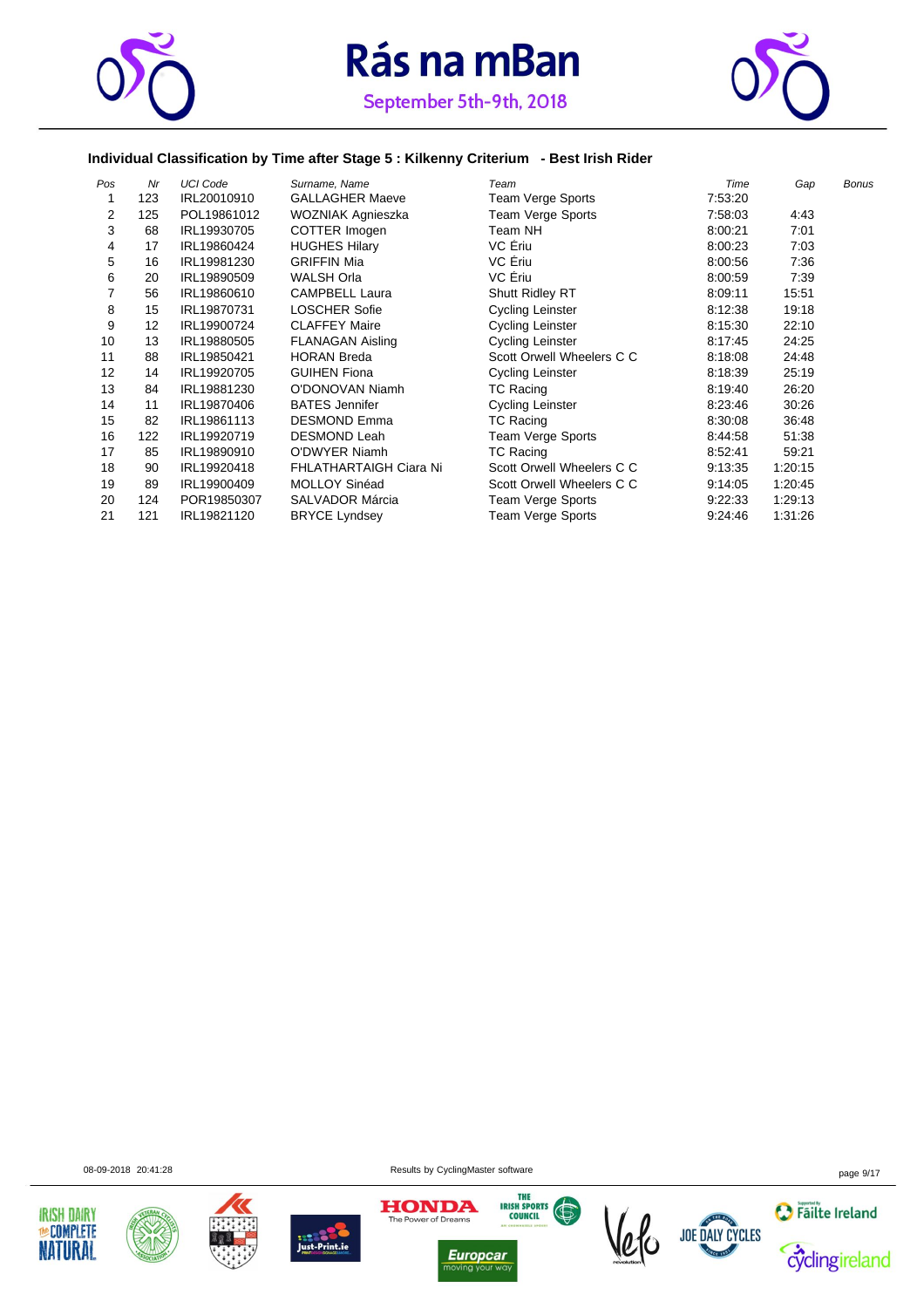



#### **Individual Classification by Time after Stage 5 : Kilkenny Criterium - Best Irish Rider**

| Pos | Nr  | <b>UCI Code</b> | Surname, Name                 | Team                      | Time    | Gap     | <b>Bonus</b> |
|-----|-----|-----------------|-------------------------------|---------------------------|---------|---------|--------------|
|     | 123 | IRL20010910     | <b>GALLAGHER Maeve</b>        | Team Verge Sports         | 7:53:20 |         |              |
| 2   | 125 | POL19861012     | WOZNIAK Agnieszka             | Team Verge Sports         | 7:58:03 | 4:43    |              |
| 3   | 68  | IRL19930705     | COTTER Imogen                 | Team NH                   | 8:00:21 | 7:01    |              |
| 4   | 17  | IRL19860424     | <b>HUGHES Hilary</b>          | VC Eriu                   | 8:00:23 | 7:03    |              |
| 5   | 16  | IRL19981230     | <b>GRIFFIN Mia</b>            | VC Ériu                   | 8:00:56 | 7:36    |              |
| 6   | 20  | IRL19890509     | <b>WALSH Orla</b>             | VC Ériu                   | 8:00:59 | 7:39    |              |
|     | 56  | IRL19860610     | <b>CAMPBELL Laura</b>         | <b>Shutt Ridley RT</b>    | 8:09:11 | 15:51   |              |
| 8   | 15  | IRL19870731     | <b>LOSCHER Sofie</b>          | Cycling Leinster          | 8:12:38 | 19:18   |              |
| 9   | 12  | IRL19900724     | <b>CLAFFEY Maire</b>          | Cycling Leinster          | 8:15:30 | 22:10   |              |
| 10  | 13  | IRL19880505     | <b>FLANAGAN Aisling</b>       | Cycling Leinster          | 8:17:45 | 24:25   |              |
| 11  | 88  | IRL19850421     | <b>HORAN Breda</b>            | Scott Orwell Wheelers C C | 8:18:08 | 24:48   |              |
| 12  | 14  | IRL19920705     | <b>GUIHEN Fiona</b>           | Cycling Leinster          | 8:18:39 | 25:19   |              |
| 13  | 84  | IRL19881230     | O'DONOVAN Niamh               | TC Racing                 | 8:19:40 | 26:20   |              |
| 14  | 11  | IRL19870406     | <b>BATES Jennifer</b>         | Cycling Leinster          | 8:23:46 | 30:26   |              |
| 15  | 82  | IRL19861113     | <b>DESMOND Emma</b>           | TC Racing                 | 8:30:08 | 36:48   |              |
| 16  | 122 | IRL19920719     | <b>DESMOND Leah</b>           | <b>Team Verge Sports</b>  | 8:44:58 | 51:38   |              |
| 17  | 85  | IRL19890910     | <b>O'DWYER Niamh</b>          | TC Racing                 | 8:52:41 | 59:21   |              |
| 18  | 90  | IRL19920418     | <b>FHLATHARTAIGH Ciara Ni</b> | Scott Orwell Wheelers C C | 9:13:35 | 1:20:15 |              |
| 19  | 89  | IRL19900409     | MOLLOY Sinéad                 | Scott Orwell Wheelers C C | 9:14:05 | 1:20:45 |              |
| 20  | 124 | POR19850307     | <b>SALVADOR Márcia</b>        | Team Verge Sports         | 9:22:33 | 1:29:13 |              |
| 21  | 121 | IRL19821120     | <b>BRYCE Lyndsey</b>          | Team Verge Sports         | 9:24:46 | 1:31:26 |              |

08-09-2018 20:41:28 Results by CyclingMaster software page 9/17











**Europcar**<br>moving your way 



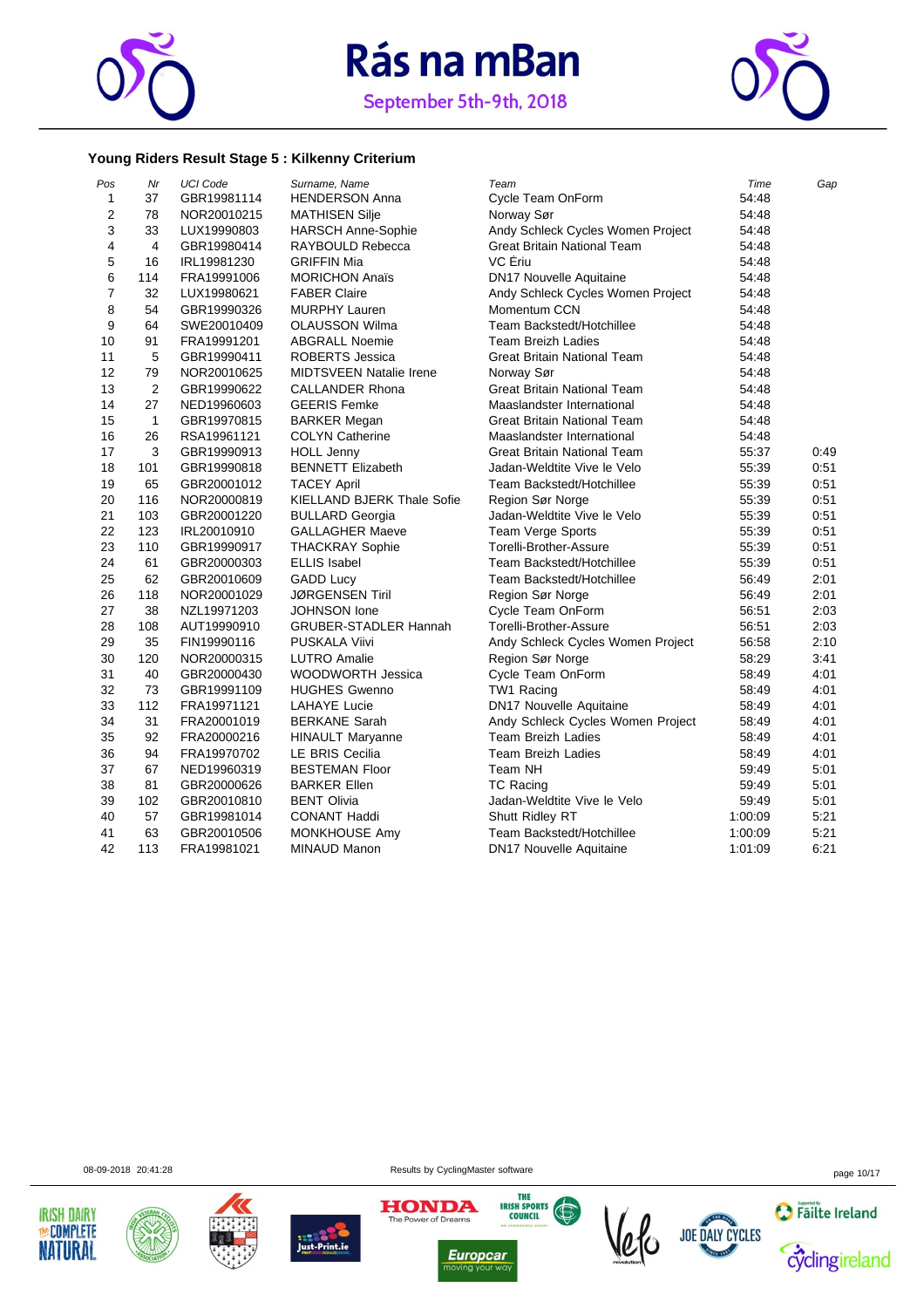

September 5th-9th, 2018



#### **Young Riders Result Stage 5 : Kilkenny Criterium**

| Pos            | Nr           | <b>UCI Code</b> | Surname, Name                     | Team                               | Time    | Gap  |
|----------------|--------------|-----------------|-----------------------------------|------------------------------------|---------|------|
| 1              | 37           | GBR19981114     | <b>HENDERSON Anna</b>             | Cycle Team OnForm                  | 54:48   |      |
| $\overline{2}$ | 78           | NOR20010215     | <b>MATHISEN Silje</b>             | Norway Sør                         | 54:48   |      |
| 3              | 33           | LUX19990803     | <b>HARSCH Anne-Sophie</b>         | Andy Schleck Cycles Women Project  | 54:48   |      |
| 4              | 4            | GBR19980414     | RAYBOULD Rebecca                  | <b>Great Britain National Team</b> | 54:48   |      |
| 5              | 16           | IRL19981230     | <b>GRIFFIN Mia</b>                | VC Ériu                            | 54:48   |      |
| 6              | 114          | FRA19991006     | <b>MORICHON Anaïs</b>             | <b>DN17 Nouvelle Aquitaine</b>     | 54:48   |      |
| $\overline{7}$ | 32           | LUX19980621     | <b>FABER Claire</b>               | Andy Schleck Cycles Women Project  | 54:48   |      |
| 8              | 54           | GBR19990326     | <b>MURPHY Lauren</b>              | Momentum CCN                       | 54:48   |      |
| 9              | 64           | SWE20010409     | <b>OLAUSSON Wilma</b>             | Team Backstedt/Hotchillee          | 54:48   |      |
| 10             | 91           | FRA19991201     | <b>ABGRALL Noemie</b>             | <b>Team Breizh Ladies</b>          | 54:48   |      |
| 11             | 5            | GBR19990411     | ROBERTS Jessica                   | <b>Great Britain National Team</b> | 54:48   |      |
| 12             | 79           | NOR20010625     | <b>MIDTSVEEN Natalie Irene</b>    | Norway Sør                         | 54:48   |      |
| 13             | 2            | GBR19990622     | <b>CALLANDER Rhona</b>            | Great Britain National Team        | 54:48   |      |
| 14             | 27           | NED19960603     | <b>GEERIS Femke</b>               | Maaslandster International         | 54:48   |      |
| 15             | $\mathbf{1}$ | GBR19970815     | <b>BARKER Megan</b>               | Great Britain National Team        | 54:48   |      |
| 16             | 26           | RSA19961121     | <b>COLYN Catherine</b>            | Maaslandster International         | 54:48   |      |
| 17             | 3            | GBR19990913     | <b>HOLL Jenny</b>                 | Great Britain National Team        | 55:37   | 0:49 |
| 18             | 101          | GBR19990818     | <b>BENNETT Elizabeth</b>          | Jadan-Weldtite Vive le Velo        | 55:39   | 0:51 |
| 19             | 65           | GBR20001012     | <b>TACEY April</b>                | Team Backstedt/Hotchillee          | 55:39   | 0:51 |
| 20             | 116          | NOR20000819     | <b>KIELLAND BJERK Thale Sofie</b> | Region Sør Norge                   | 55:39   | 0:51 |
| 21             | 103          | GBR20001220     | <b>BULLARD Georgia</b>            | Jadan-Weldtite Vive le Velo        | 55:39   | 0:51 |
| 22             | 123          | IRL20010910     | <b>GALLAGHER Maeve</b>            | Team Verge Sports                  | 55:39   | 0:51 |
| 23             | 110          | GBR19990917     | <b>THACKRAY Sophie</b>            | Torelli-Brother-Assure             | 55:39   | 0:51 |
| 24             | 61           | GBR20000303     | <b>ELLIS Isabel</b>               | Team Backstedt/Hotchillee          | 55:39   | 0:51 |
| 25             | 62           | GBR20010609     | <b>GADD Lucy</b>                  | Team Backstedt/Hotchillee          | 56:49   | 2:01 |
| 26             | 118          | NOR20001029     | <b>JØRGENSEN Tiril</b>            | Region Sør Norge                   | 56:49   | 2:01 |
| 27             | 38           | NZL19971203     | <b>JOHNSON</b> lone               | Cycle Team OnForm                  | 56:51   | 2:03 |
| 28             | 108          | AUT19990910     | <b>GRUBER-STADLER Hannah</b>      | Torelli-Brother-Assure             | 56:51   | 2:03 |
| 29             | 35           | FIN19990116     | PUSKALA Viivi                     | Andy Schleck Cycles Women Project  | 56:58   | 2:10 |
| 30             | 120          | NOR20000315     | <b>LUTRO Amalie</b>               | Region Sør Norge                   | 58:29   | 3:41 |
| 31             | 40           | GBR20000430     | <b>WOODWORTH Jessica</b>          | Cycle Team OnForm                  | 58:49   | 4:01 |
| 32             | 73           | GBR19991109     | <b>HUGHES Gwenno</b>              | TW1 Racing                         | 58:49   | 4:01 |
| 33             | 112          | FRA19971121     | <b>LAHAYE Lucie</b>               | DN17 Nouvelle Aquitaine            | 58:49   | 4:01 |
| 34             | 31           | FRA20001019     | <b>BERKANE Sarah</b>              | Andy Schleck Cycles Women Project  | 58:49   | 4:01 |
| 35             | 92           | FRA20000216     | <b>HINAULT Maryanne</b>           | Team Breizh Ladies                 | 58:49   | 4:01 |
| 36             | 94           | FRA19970702     | LE BRIS Cecilia                   | <b>Team Breizh Ladies</b>          | 58:49   | 4:01 |
| 37             | 67           | NED19960319     | <b>BESTEMAN Floor</b>             | Team NH                            | 59:49   | 5:01 |
| 38             | 81           | GBR20000626     | <b>BARKER Ellen</b>               | <b>TC Racing</b>                   | 59:49   | 5:01 |
| 39             | 102          | GBR20010810     | <b>BENT Olivia</b>                | Jadan-Weldtite Vive le Velo        | 59:49   | 5:01 |
| 40             | 57           | GBR19981014     | <b>CONANT Haddi</b>               | Shutt Ridley RT                    | 1:00:09 | 5:21 |
| 41             | 63           | GBR20010506     | <b>MONKHOUSE Amy</b>              | Team Backstedt/Hotchillee          | 1:00:09 | 5:21 |
| 42             | 113          | FRA19981021     | MINAUD Manon                      | <b>DN17 Nouvelle Aquitaine</b>     | 1:01:09 | 6:21 |

08-09-2018 20:41:28 Results by CyclingMaster software page 10/17













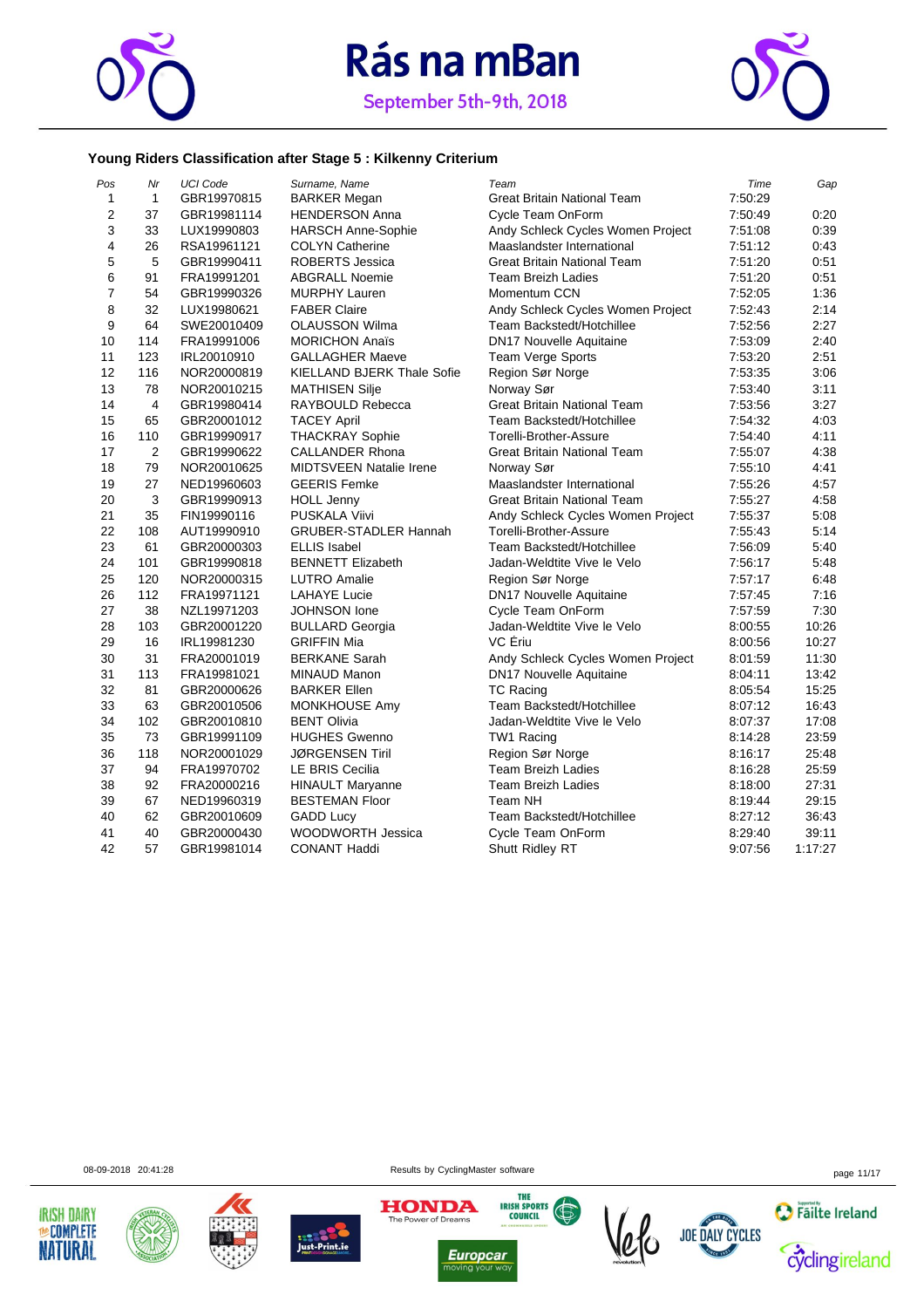



#### September 5th-9th, 2018

#### **Young Riders Classification after Stage 5 : Kilkenny Criterium**

| Pos            | Nr  | <b>UCI Code</b> | Surname, Name                     | Team                               | Time    | Gap     |
|----------------|-----|-----------------|-----------------------------------|------------------------------------|---------|---------|
| 1              | 1   | GBR19970815     | <b>BARKER Megan</b>               | <b>Great Britain National Team</b> | 7:50:29 |         |
| $\overline{2}$ | 37  | GBR19981114     | <b>HENDERSON Anna</b>             | Cycle Team OnForm                  | 7:50:49 | 0:20    |
| 3              | 33  | LUX19990803     | <b>HARSCH Anne-Sophie</b>         | Andy Schleck Cycles Women Project  | 7:51:08 | 0:39    |
| 4              | 26  | RSA19961121     | <b>COLYN Catherine</b>            | Maaslandster International         | 7:51:12 | 0:43    |
| 5              | 5   | GBR19990411     | <b>ROBERTS Jessica</b>            | <b>Great Britain National Team</b> | 7:51:20 | 0:51    |
| 6              | 91  | FRA19991201     | <b>ABGRALL Noemie</b>             | <b>Team Breizh Ladies</b>          | 7:51:20 | 0:51    |
| $\overline{7}$ | 54  | GBR19990326     | <b>MURPHY Lauren</b>              | Momentum CCN                       | 7:52:05 | 1:36    |
| 8              | 32  | LUX19980621     | <b>FABER Claire</b>               | Andy Schleck Cycles Women Project  | 7:52:43 | 2:14    |
| 9              | 64  | SWE20010409     | <b>OLAUSSON Wilma</b>             | Team Backstedt/Hotchillee          | 7:52:56 | 2:27    |
| 10             | 114 | FRA19991006     | <b>MORICHON Anaïs</b>             | <b>DN17 Nouvelle Aquitaine</b>     | 7:53:09 | 2:40    |
| 11             | 123 | IRL20010910     | <b>GALLAGHER Maeve</b>            | Team Verge Sports                  | 7:53:20 | 2:51    |
| 12             | 116 | NOR20000819     | <b>KIELLAND BJERK Thale Sofie</b> | Region Sør Norge                   | 7:53:35 | 3:06    |
| 13             | 78  | NOR20010215     | <b>MATHISEN Silje</b>             | Norway Sør                         | 7:53:40 | 3:11    |
| 14             | 4   | GBR19980414     | RAYBOULD Rebecca                  | <b>Great Britain National Team</b> | 7:53:56 | 3:27    |
| 15             | 65  | GBR20001012     | <b>TACEY April</b>                | Team Backstedt/Hotchillee          | 7:54:32 | 4:03    |
| 16             | 110 | GBR19990917     | <b>THACKRAY Sophie</b>            | Torelli-Brother-Assure             | 7:54:40 | 4:11    |
| 17             | 2   | GBR19990622     | <b>CALLANDER Rhona</b>            | Great Britain National Team        | 7:55:07 | 4:38    |
| 18             | 79  | NOR20010625     | <b>MIDTSVEEN Natalie Irene</b>    | Norway Sør                         | 7:55:10 | 4:41    |
| 19             | 27  | NED19960603     | <b>GEERIS Femke</b>               | Maaslandster International         | 7:55:26 | 4:57    |
| 20             | 3   | GBR19990913     | <b>HOLL Jenny</b>                 | Great Britain National Team        | 7:55:27 | 4:58    |
| 21             | 35  | FIN19990116     | <b>PUSKALA Viivi</b>              | Andy Schleck Cycles Women Project  | 7:55:37 | 5:08    |
| 22             | 108 | AUT19990910     | <b>GRUBER-STADLER Hannah</b>      | Torelli-Brother-Assure             | 7:55:43 | 5:14    |
| 23             | 61  | GBR20000303     | <b>ELLIS Isabel</b>               | Team Backstedt/Hotchillee          | 7:56:09 | 5:40    |
| 24             | 101 | GBR19990818     | <b>BENNETT Elizabeth</b>          | Jadan-Weldtite Vive le Velo        | 7:56:17 | 5:48    |
| 25             | 120 | NOR20000315     | <b>LUTRO Amalie</b>               | Region Sør Norge                   | 7:57:17 | 6:48    |
| 26             | 112 | FRA19971121     | <b>LAHAYE Lucie</b>               | DN17 Nouvelle Aquitaine            | 7:57:45 | 7:16    |
| 27             | 38  | NZL19971203     | JOHNSON lone                      | Cycle Team OnForm                  | 7:57:59 | 7:30    |
| 28             | 103 | GBR20001220     | <b>BULLARD Georgia</b>            | Jadan-Weldtite Vive le Velo        | 8:00:55 | 10:26   |
| 29             | 16  | IRL19981230     | <b>GRIFFIN Mia</b>                | VC Ériu                            | 8:00:56 | 10:27   |
| 30             | 31  | FRA20001019     | <b>BERKANE Sarah</b>              | Andy Schleck Cycles Women Project  | 8:01:59 | 11:30   |
| 31             | 113 | FRA19981021     | MINAUD Manon                      | <b>DN17 Nouvelle Aquitaine</b>     | 8:04:11 | 13:42   |
| 32             | 81  | GBR20000626     | <b>BARKER Ellen</b>               | <b>TC Racing</b>                   | 8:05:54 | 15:25   |
| 33             | 63  | GBR20010506     | MONKHOUSE Amy                     | Team Backstedt/Hotchillee          | 8:07:12 | 16:43   |
| 34             | 102 | GBR20010810     | <b>BENT Olivia</b>                | Jadan-Weldtite Vive le Velo        | 8:07:37 | 17:08   |
| 35             | 73  | GBR19991109     | <b>HUGHES Gwenno</b>              | TW1 Racing                         | 8:14:28 | 23:59   |
| 36             | 118 | NOR20001029     | <b>JØRGENSEN Tiril</b>            | Region Sør Norge                   | 8:16:17 | 25:48   |
| 37             | 94  | FRA19970702     | LE BRIS Cecilia                   | <b>Team Breizh Ladies</b>          | 8:16:28 | 25:59   |
| 38             | 92  | FRA20000216     | <b>HINAULT Maryanne</b>           | <b>Team Breizh Ladies</b>          | 8:18:00 | 27:31   |
| 39             | 67  | NED19960319     | <b>BESTEMAN Floor</b>             | Team NH                            | 8:19:44 | 29:15   |
| 40             | 62  | GBR20010609     | <b>GADD Lucy</b>                  | Team Backstedt/Hotchillee          | 8:27:12 | 36:43   |
| 41             | 40  | GBR20000430     | WOODWORTH Jessica                 | Cycle Team OnForm                  | 8:29:40 | 39:11   |
| 42             | 57  | GBR19981014     | <b>CONANT Haddi</b>               | Shutt Ridley RT                    | 9:07:56 | 1:17:27 |

08-09-2018 20:41:28 page 11/17









THE THE SPORTS The Power of Dreams



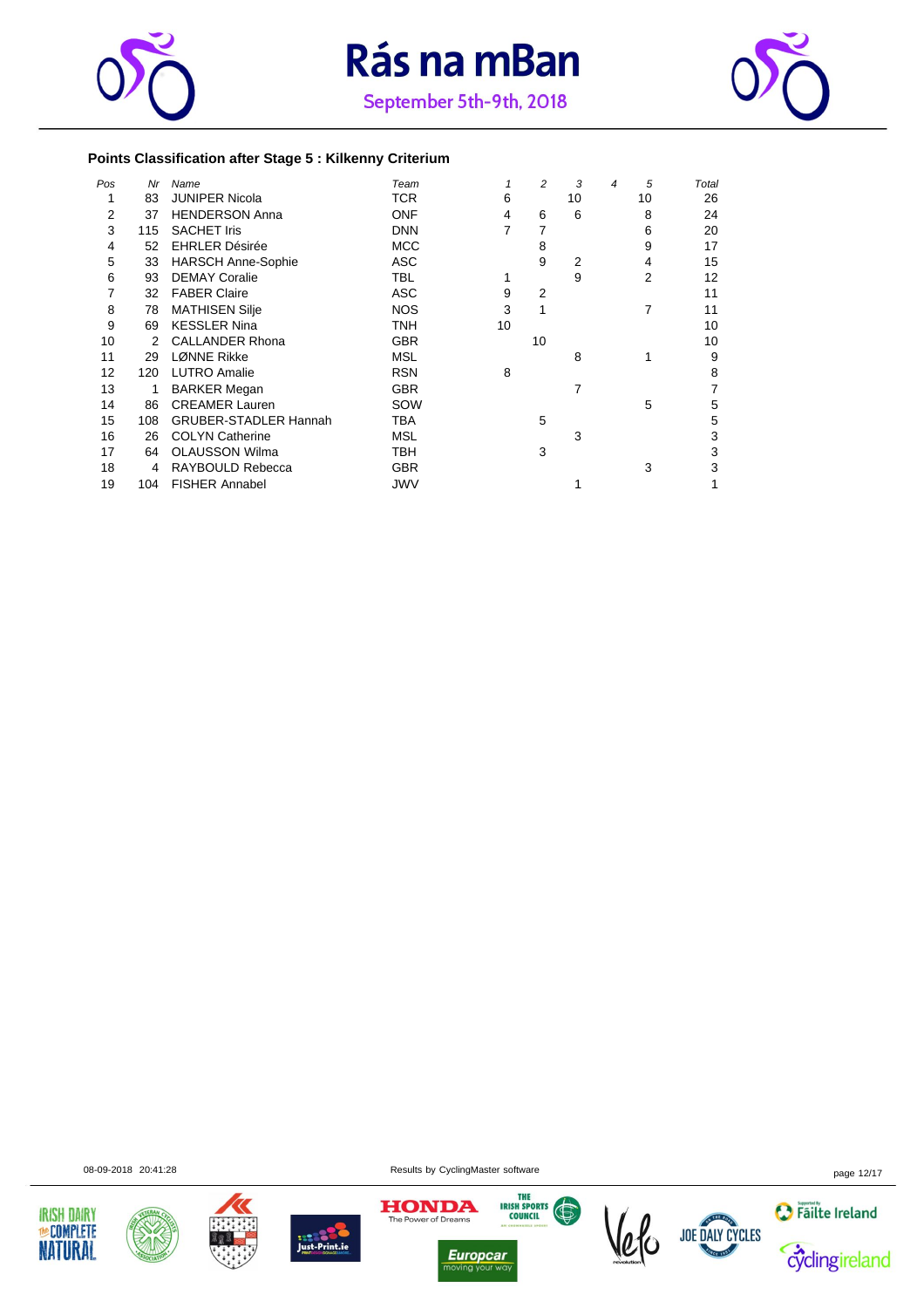





#### **Points Classification after Stage 5 : Kilkenny Criterium**

| Pos | Nr  | Name                         | Team       |    | 2              | 3  | $\overline{4}$ | 5  | Total |
|-----|-----|------------------------------|------------|----|----------------|----|----------------|----|-------|
|     | 83  | <b>JUNIPER Nicola</b>        | TCR        | 6  |                | 10 |                | 10 | 26    |
| 2   | 37  | <b>HENDERSON Anna</b>        | <b>ONF</b> | 4  | 6              | 6  |                | 8  | 24    |
| 3   | 115 | <b>SACHET Iris</b>           | <b>DNN</b> | 7  |                |    |                | 6  | 20    |
| 4   | 52  | <b>EHRLER Désirée</b>        | <b>MCC</b> |    | 8              |    |                | 9  | 17    |
| 5   | 33  | <b>HARSCH Anne-Sophie</b>    | ASC        |    | 9              | 2  |                | 4  | 15    |
| 6   | 93  | <b>DEMAY Coralie</b>         | <b>TBL</b> |    |                | 9  |                | 2  | 12    |
|     | 32  | <b>FABER Claire</b>          | <b>ASC</b> | 9  | $\overline{2}$ |    |                |    | 11    |
| 8   | 78  | <b>MATHISEN Silje</b>        | <b>NOS</b> | 3  |                |    |                | 7  | 11    |
| 9   | 69  | <b>KESSLER Nina</b>          | TNH        | 10 |                |    |                |    | 10    |
| 10  | 2   | <b>CALLANDER Rhona</b>       | <b>GBR</b> |    | 10             |    |                |    | 10    |
| 11  | 29  | <b>LØNNE Rikke</b>           | <b>MSL</b> |    |                | 8  |                |    | 9     |
| 12  | 120 | <b>LUTRO Amalie</b>          | <b>RSN</b> | 8  |                |    |                |    | 8     |
| 13  | 1   | <b>BARKER Megan</b>          | <b>GBR</b> |    |                | 7  |                |    | 7     |
| 14  | 86  | <b>CREAMER Lauren</b>        | SOW        |    |                |    |                | 5  | 5     |
| 15  | 108 | <b>GRUBER-STADLER Hannah</b> | TBA        |    | 5              |    |                |    | 5     |
| 16  | 26  | <b>COLYN Catherine</b>       | <b>MSL</b> |    |                | 3  |                |    | 3     |
| 17  | 64  | <b>OLAUSSON Wilma</b>        | <b>TBH</b> |    | 3              |    |                |    | 3     |
| 18  | 4   | RAYBOULD Rebecca             | <b>GBR</b> |    |                |    |                | 3  | 3     |
| 19  | 104 | <b>FISHER Annabel</b>        | <b>JWV</b> |    |                |    |                |    |       |













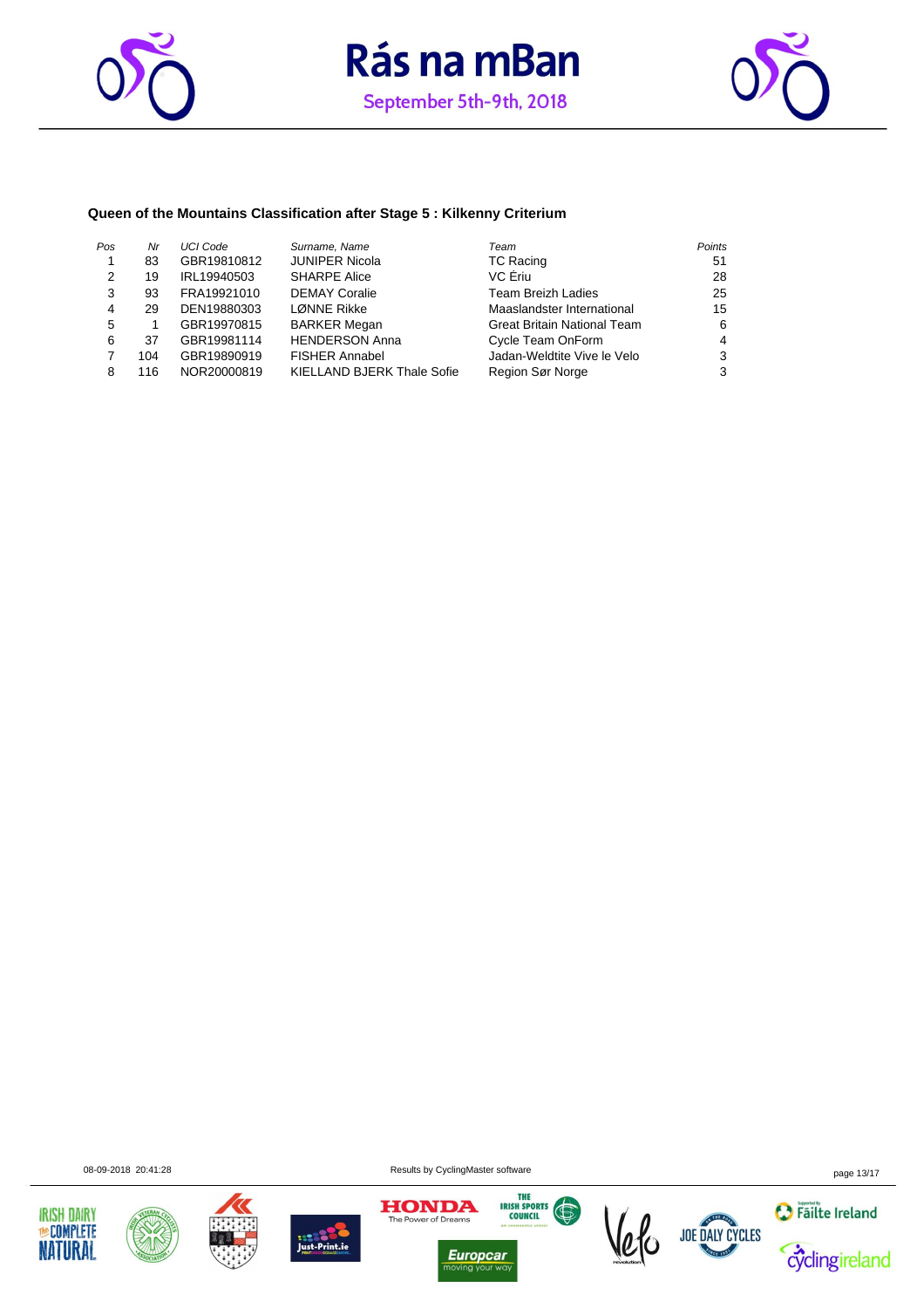





#### **Queen of the Mountains Classification after Stage 5 : Kilkenny Criterium**

| Pos           | Nr  | UCI Code    | Surname, Name                     | Team                               | Points |
|---------------|-----|-------------|-----------------------------------|------------------------------------|--------|
|               | 83  | GBR19810812 | <b>JUNIPER Nicola</b>             | <b>TC Racing</b>                   | 51     |
| $\mathcal{P}$ | 19  | IRL19940503 | <b>SHARPE Alice</b>               | VC Eriu                            | 28     |
| 3             | 93  | FRA19921010 | <b>DEMAY Coralie</b>              | <b>Team Breizh Ladies</b>          | 25     |
| 4             | 29  | DEN19880303 | LØNNE Rikke                       | Maaslandster International         | 15     |
| 5             |     | GBR19970815 | <b>BARKER Megan</b>               | <b>Great Britain National Team</b> | 6      |
| 6             | 37  | GBR19981114 | <b>HENDERSON Anna</b>             | Cycle Team OnForm                  | 4      |
|               | 104 | GBR19890919 | <b>FISHER Annabel</b>             | Jadan-Weldtite Vive le Velo        | 3      |
| 8             | 116 | NOR20000819 | <b>KIELLAND BJERK Thale Sofie</b> | Region Sør Norge                   | 3      |













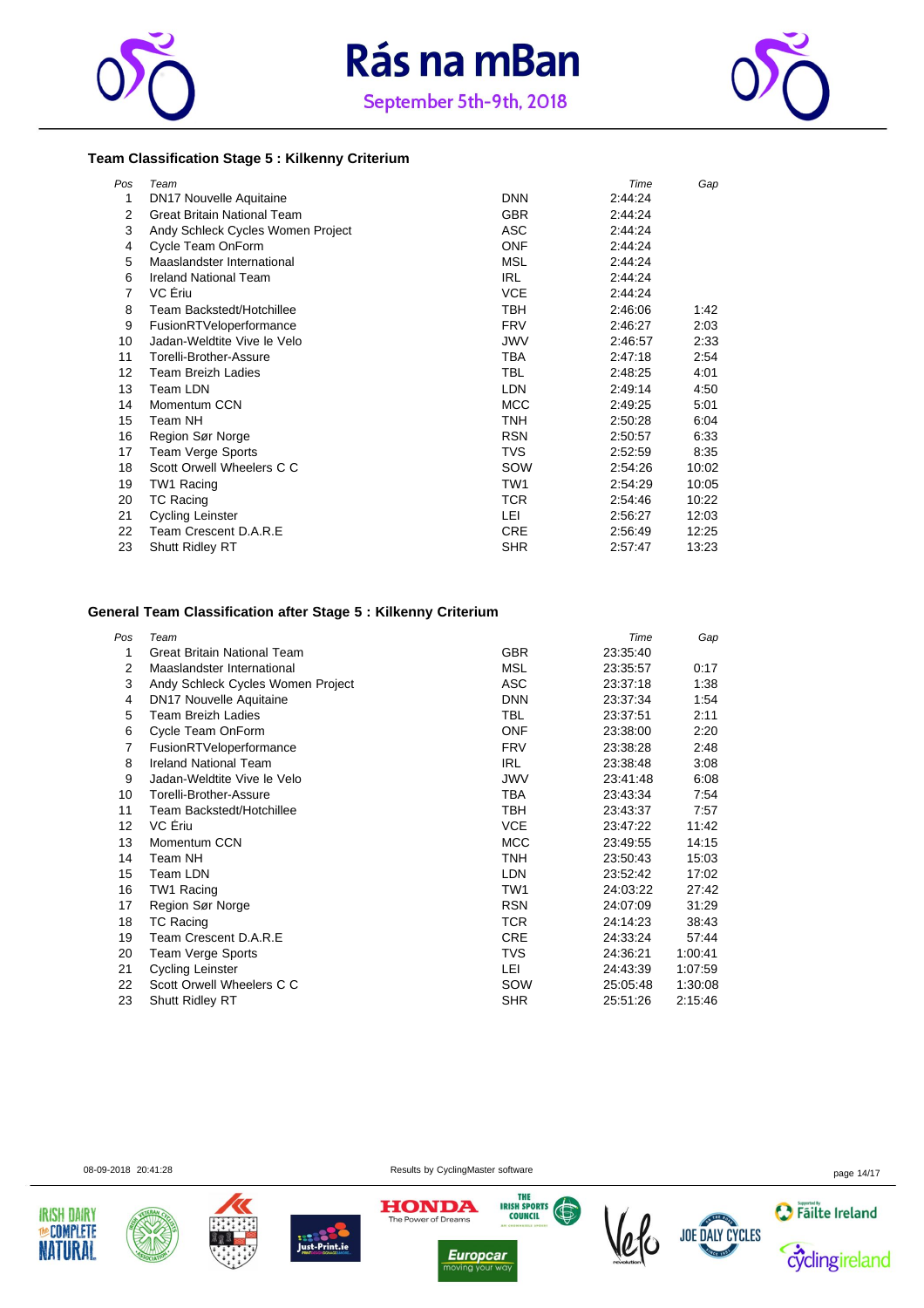





#### **Team Classification Stage 5 : Kilkenny Criterium**

| Pos | Team                               |            | Time    | Gap   |
|-----|------------------------------------|------------|---------|-------|
| 1   | <b>DN17 Nouvelle Aquitaine</b>     | <b>DNN</b> | 2:44:24 |       |
| 2   | <b>Great Britain National Team</b> | <b>GBR</b> | 2:44:24 |       |
| 3   | Andy Schleck Cycles Women Project  | ASC        | 2.44.24 |       |
| 4   | Cycle Team OnForm                  | ONF        | 2:44:24 |       |
| 5   | Maaslandster International         | <b>MSL</b> | 2:44:24 |       |
| 6   | <b>Ireland National Team</b>       | IRL        | 2:44:24 |       |
| 7   | VC Eriu                            | <b>VCE</b> | 2:44:24 |       |
| 8   | Team Backstedt/Hotchillee          | TBH        | 2:46:06 | 1:42  |
| 9   | FusionRTVeloperformance            | <b>FRV</b> | 2:46:27 | 2:03  |
| 10  | Jadan-Weldtite Vive le Velo        | JWV        | 2:46:57 | 2:33  |
| 11  | Torelli-Brother-Assure             | TBA        | 2:47:18 | 2:54  |
| 12  | <b>Team Breizh Ladies</b>          | <b>TBL</b> | 2:48:25 | 4:01  |
| 13  | Team LDN                           | LDN.       | 2:49:14 | 4:50  |
| 14  | Momentum CCN                       | <b>MCC</b> | 2:49:25 | 5:01  |
| 15  | Team NH                            | TNH        | 2:50:28 | 6:04  |
| 16  | Region Sør Norge                   | <b>RSN</b> | 2:50:57 | 6:33  |
| 17  | Team Verge Sports                  | TVS        | 2:52:59 | 8:35  |
| 18  | Scott Orwell Wheelers C C          | SOW        | 2:54:26 | 10:02 |
| 19  | TW1 Racing                         | TW1        | 2:54:29 | 10:05 |
| 20  | <b>TC Racing</b>                   | TCR        | 2:54:46 | 10:22 |
| 21  | Cycling Leinster                   | LEI        | 2:56:27 | 12:03 |
| 22  | Team Crescent D.A.R.E              | CRE        | 2:56:49 | 12:25 |
| 23  | Shutt Ridley RT                    | <b>SHR</b> | 2:57:47 | 13:23 |

#### **General Team Classification after Stage 5 : Kilkenny Criterium**

| Team                              |            | Time     | Gap     |
|-----------------------------------|------------|----------|---------|
| Great Britain National Team       | <b>GBR</b> | 23:35:40 |         |
| Maaslandster International        | MSL        | 23:35:57 | 0:17    |
| Andy Schleck Cycles Women Project | ASC        | 23:37:18 | 1:38    |
| DN17 Nouvelle Aquitaine           | <b>DNN</b> | 23:37:34 | 1:54    |
| <b>Team Breizh Ladies</b>         | TBL        | 23:37:51 | 2:11    |
| Cycle Team OnForm                 | <b>ONF</b> | 23:38:00 | 2:20    |
| FusionRTVeloperformance           | <b>FRV</b> | 23:38:28 | 2:48    |
| <b>Ireland National Team</b>      | <b>IRL</b> | 23:38:48 | 3:08    |
| Jadan-Weldtite Vive le Velo       | <b>JWV</b> | 23.41.48 | 6:08    |
| Torelli-Brother-Assure            | TBA        | 23:43:34 | 7:54    |
| Team Backstedt/Hotchillee         | TBH        | 23:43:37 | 7:57    |
| VC Eriu                           | <b>VCE</b> | 23:47:22 | 11:42   |
| Momentum CCN                      | <b>MCC</b> | 23:49:55 | 14:15   |
| Team NH                           | TNH        | 23:50:43 | 15:03   |
| Team LDN                          | <b>LDN</b> | 23:52:42 | 17:02   |
| TW1 Racing                        | TW1        | 24:03:22 | 27:42   |
| Region Sør Norge                  | <b>RSN</b> | 24:07:09 | 31:29   |
| <b>TC Racing</b>                  | TCR        | 24:14:23 | 38:43   |
| Team Crescent D.A.R.E             | <b>CRE</b> | 24:33:24 | 57:44   |
| Team Verge Sports                 | TVS        | 24:36:21 | 1:00:41 |
| Cycling Leinster                  | LEI        | 24:43:39 | 1:07:59 |
| Scott Orwell Wheelers C C         | SOW        | 25 05:48 | 1:30:08 |
| <b>Shutt Ridley RT</b>            | <b>SHR</b> | 25:51:26 | 2:15:46 |
|                                   |            |          |         |

**IRISH DAIRY MeCOMPLETE** 

**NATURAL** 







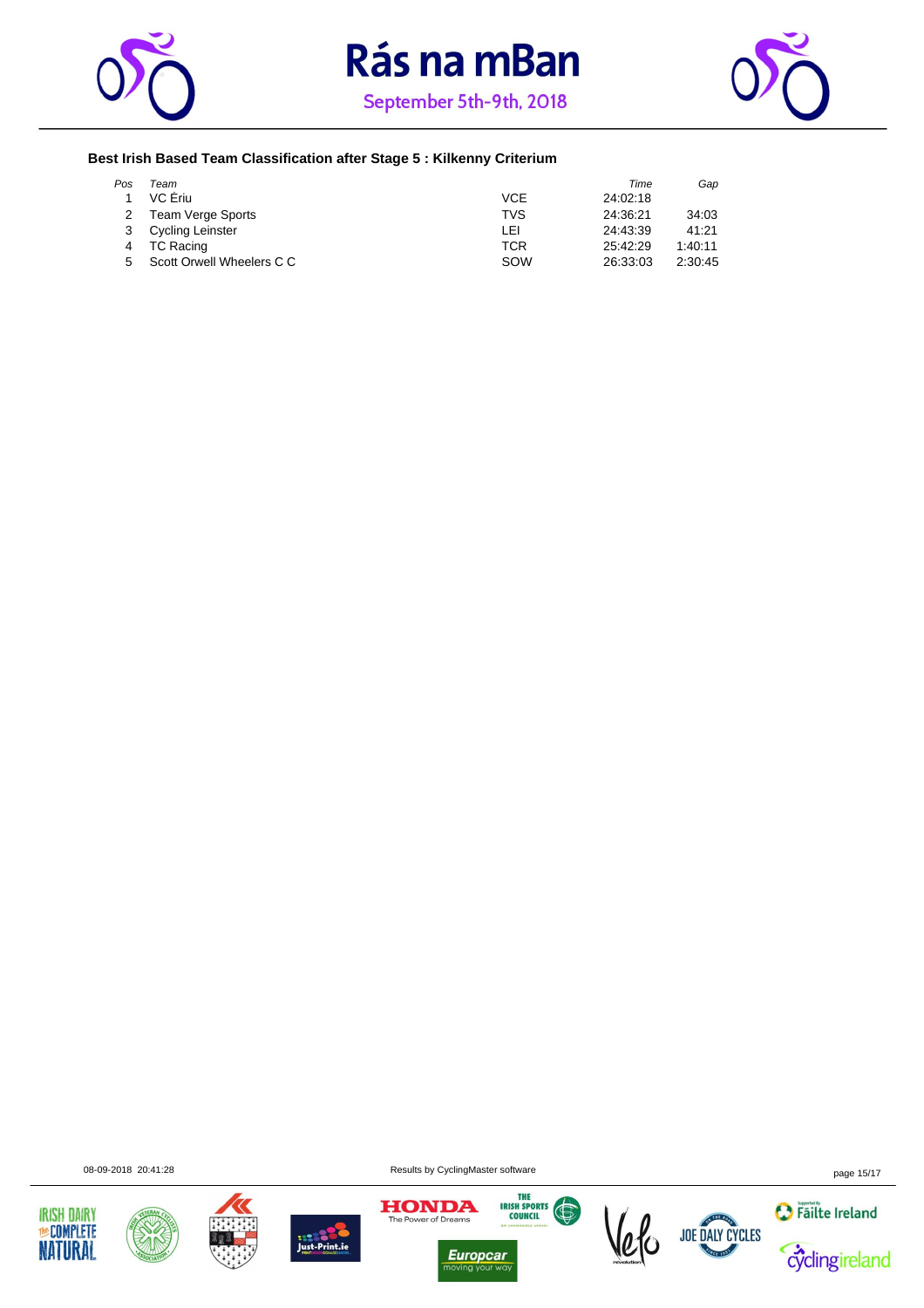





#### **Best Irish Based Team Classification after Stage 5 : Kilkenny Criterium**

| Pos | Team                      |            | Time     | Gap     |
|-----|---------------------------|------------|----------|---------|
|     | VC Ériu                   | <b>VCE</b> | 24:02:18 |         |
|     | 2 Team Verge Sports       | <b>TVS</b> | 24:36:21 | 34:03   |
|     | <b>Cycling Leinster</b>   | LEI        | 24:43:39 | 41:21   |
|     | TC Racing                 | TCR        | 25:42:29 | 1:40:11 |
| 5.  | Scott Orwell Wheelers C C | SOW        | 26:33:03 | 2:30:45 |













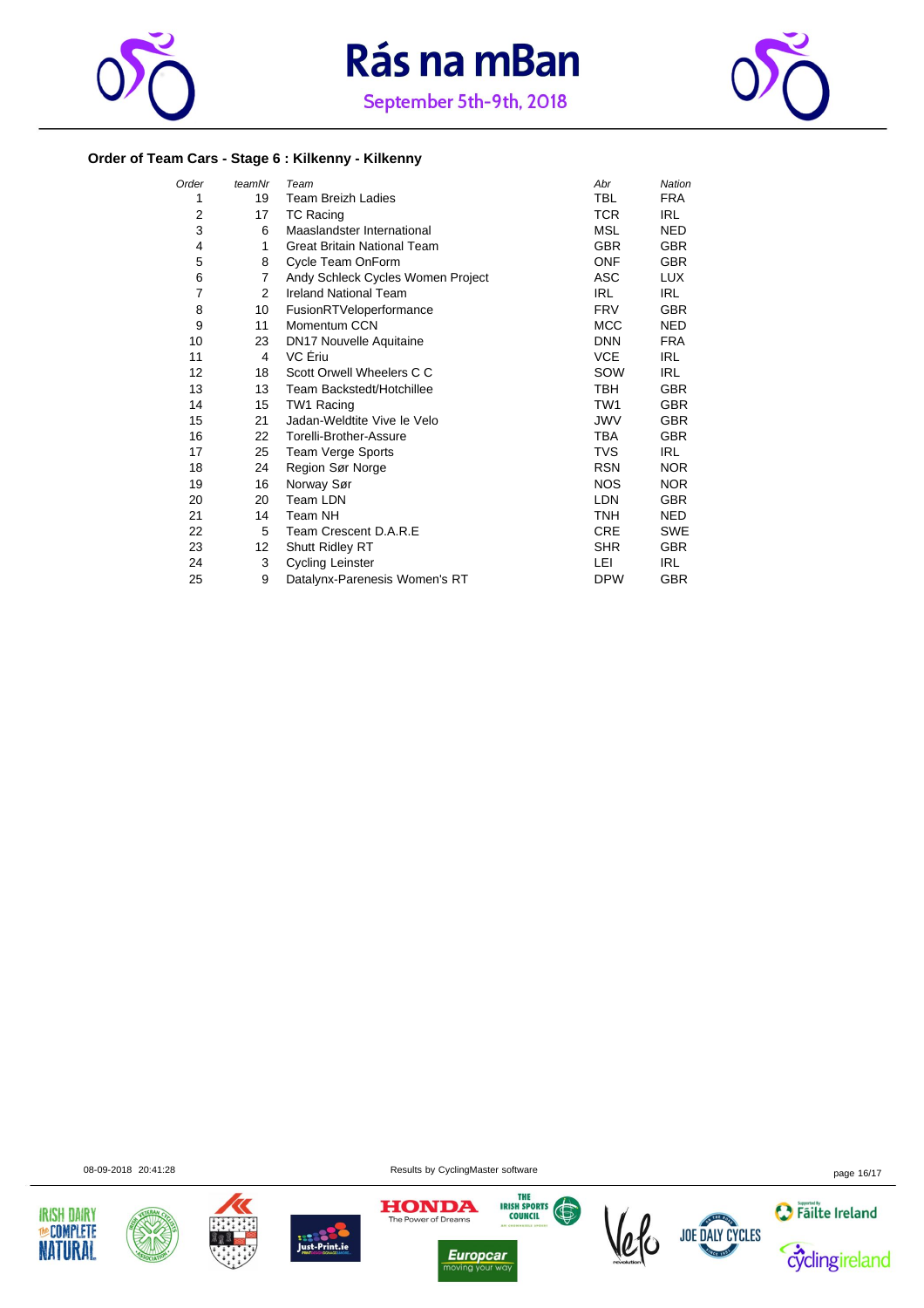





#### **Order of Team Cars - Stage 6 : Kilkenny - Kilkenny**

| Order | teamNr | Team                               | Abr             | Nation     |
|-------|--------|------------------------------------|-----------------|------------|
| 1     | 19     | <b>Team Breizh Ladies</b>          | <b>TBL</b>      | <b>FRA</b> |
| 2     | 17     | <b>TC Racing</b>                   | <b>TCR</b>      | IRL.       |
| 3     | 6      | Maaslandster International         | <b>MSL</b>      | <b>NED</b> |
| 4     | 1      | <b>Great Britain National Team</b> | <b>GBR</b>      | <b>GBR</b> |
| 5     | 8      | Cycle Team OnForm                  | <b>ONF</b>      | <b>GBR</b> |
| 6     | 7      | Andy Schleck Cycles Women Project  | ASC             | LUX.       |
| 7     | 2      | <b>Ireland National Team</b>       | <b>IRL</b>      | IRL        |
| 8     | 10     | FusionRTVeloperformance            | <b>FRV</b>      | <b>GBR</b> |
| 9     | 11     | Momentum CCN                       | <b>MCC</b>      | <b>NED</b> |
| 10    | 23     | <b>DN17 Nouvelle Aquitaine</b>     | <b>DNN</b>      | <b>FRA</b> |
| 11    | 4      | VC Ériu                            | <b>VCE</b>      | IRL.       |
| 12    | 18     | Scott Orwell Wheelers C C          | SOW             | <b>IRL</b> |
| 13    | 13     | Team Backstedt/Hotchillee          | TBH             | <b>GBR</b> |
| 14    | 15     | TW1 Racing                         | TW <sub>1</sub> | <b>GBR</b> |
| 15    | 21     | Jadan-Weldtite Vive le Velo        | <b>JWV</b>      | <b>GBR</b> |
| 16    | 22     | Torelli-Brother-Assure             | <b>TBA</b>      | <b>GBR</b> |
| 17    | 25     | <b>Team Verge Sports</b>           | <b>TVS</b>      | IRL.       |
| 18    | 24     | Region Sør Norge                   | <b>RSN</b>      | NOR.       |
| 19    | 16     | Norway Sør                         | <b>NOS</b>      | <b>NOR</b> |
| 20    | 20     | Team LDN                           | <b>LDN</b>      | <b>GBR</b> |
| 21    | 14     | Team NH                            | <b>TNH</b>      | <b>NED</b> |
| 22    | 5      | Team Crescent D.A.R.E              | <b>CRE</b>      | <b>SWE</b> |
| 23    | 12     | Shutt Ridley RT                    | <b>SHR</b>      | <b>GBR</b> |
| 24    | 3      | <b>Cycling Leinster</b>            | LEI             | <b>IRL</b> |
| 25    | 9      | Datalynx-Parenesis Women's RT      | <b>DPW</b>      | <b>GBR</b> |











 $\frac{1}{10}$ 





08-09-2018 20:41:28 page 16/17